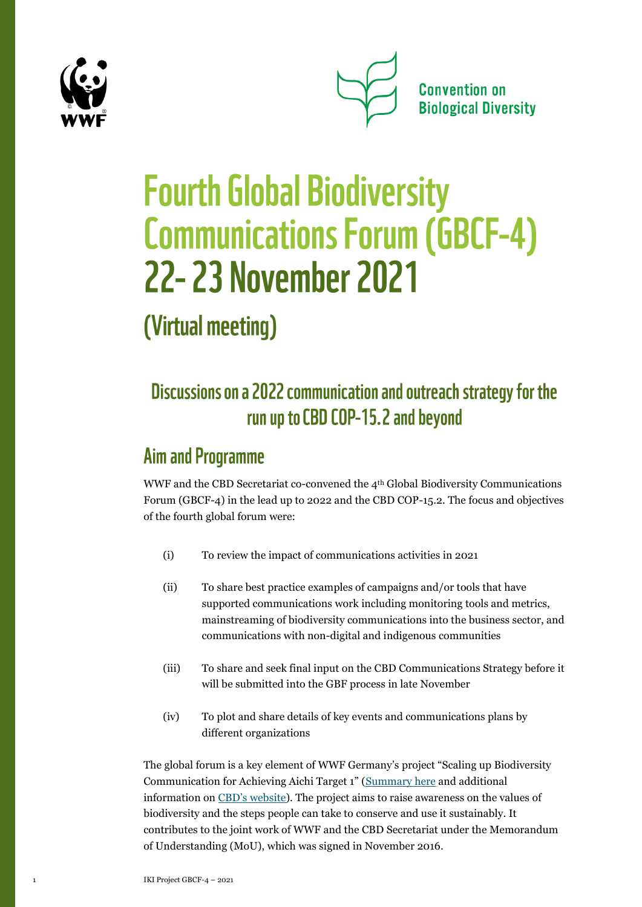



# Fourth Global Biodiversity **Communications Forum (GBCF-4)** 22- 23 **November 2021**

# (Virtual meeting)

# Discussions on a 2022 communication and outreach strategy for the run up to CBD COP-15.2 and beyond

# Aim and Programme

WWF and the CBD Secretariat co-convened the 4th Global Biodiversity Communications Forum (GBCF-4) in the lead up to 2022 and the CBD COP-15.2. The focus and objectives of the fourth global forum were:

- (i) To review the impact of communications activities in 2021
- (ii) To share best practice examples of campaigns and/or tools that have supported communications work including monitoring tools and metrics, mainstreaming of biodiversity communications into the business sector, and communications with non-digital and indigenous communities
- (iii) To share and seek final input on the CBD Communications Strategy before it will be submitted into the GBF process in late November
- (iv) To plot and share details of key events and communications plans by different organizations

The global forum is a key element of WWF Germany's project "Scaling up Biodiversity Communication for Achieving Aichi Target 1" ([Summary here](https://www.international-climate-initiative.com/en/details/project/scalingup-biodiversity-communication-for-achieving-aichi-target-1-17_IV_095-2925?cookieName=search_results&iki_lang=en&source=single&cHash=c512db9126f1df8f4294d72891fa4f5c) and additional information on [CBD's website](https://dev-chm.cbd.int/cepa/target1/wwf/)). The project aims to raise awareness on the values of biodiversity and the steps people can take to conserve and use it sustainably. It contributes to the joint work of WWF and the CBD Secretariat under the Memorandum of Understanding (MoU), which was signed in November 2016.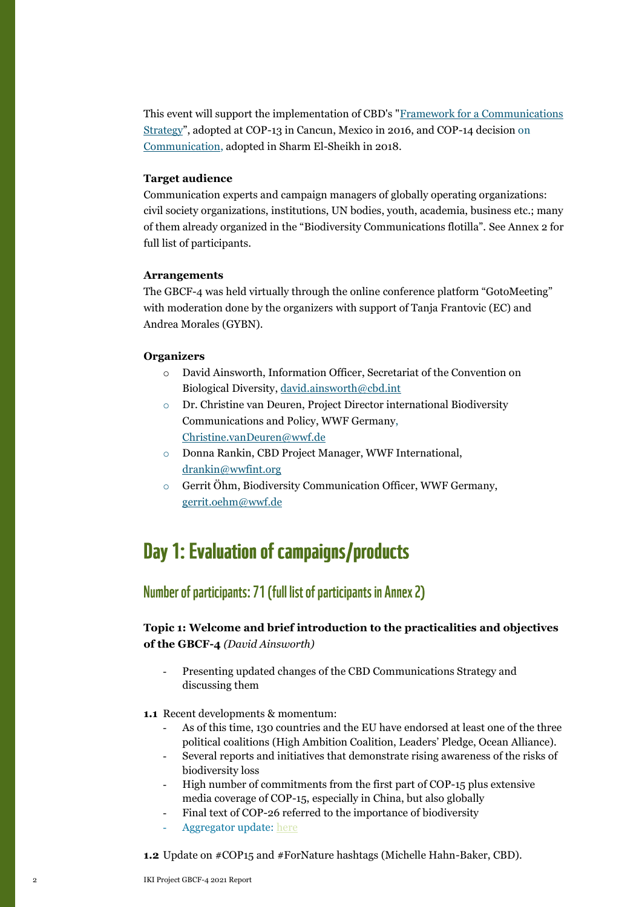This event will support the implementation of CBD's ["Framework for a Communications](https://www.cbd.int/doc/decisions/cop-13/cop-13-dec-22-en.pdf)  [Strategy](https://www.cbd.int/doc/decisions/cop-13/cop-13-dec-22-en.pdf)", adopted at COP-13 in Cancun, Mexico in 2016, and COP-14 decision on [Communication,](https://www.cbd.int/doc/decisions/cop-14/cop-14-dec-26-en.pdf) adopted in Sharm El-Sheikh in 2018.

#### **Target audience**

Communication experts and campaign managers of globally operating organizations: civil society organizations, institutions, UN bodies, youth, academia, business etc.; many of them already organized in the "Biodiversity Communications flotilla". See Annex 2 for full list of participants.

# **Arrangements**

The GBCF-4 was held virtually through the online conference platform "GotoMeeting" with moderation done by the organizers with support of Tanja Frantovic (EC) and Andrea Morales (GYBN).

#### **Organizers**

- o David Ainsworth, Information Officer, Secretariat of the Convention on Biological Diversity, [david.ainsworth@cbd.int](mailto:david.ainsworth@cbd.int)
- o Dr. Christine van Deuren, Project Director international Biodiversity Communications and Policy, WWF Germany, [Christine.vanDeuren@wwf.de](mailto:Christine.vanDeuren@wwf.de)
- o Donna Rankin, CBD Project Manager, WWF International, [drankin@wwfint.org](mailto:drankin@wwfint.org)
- o Gerrit Öhm, Biodiversity Communication Officer, WWF Germany, [gerrit.oehm@wwf.de](mailto:gerrit.oehm@wwf.de)

# **Day 1: Evaluation of campaigns/products**

Number of participants: 71 (full list of participants in Annex 2)

# **Topic 1: Welcome and brief introduction to the practicalities and objectives of the GBCF-4** *(David Ainsworth)*

- Presenting updated changes of the CBD Communications Strategy and discussing them
- **1.1** Recent developments & momentum:
	- As of this time, 130 countries and the EU have endorsed at least one of the three political coalitions (High Ambition Coalition, Leaders' Pledge, Ocean Alliance).
	- Several reports and initiatives that demonstrate rising awareness of the risks of biodiversity loss
	- High number of commitments from the first part of COP-15 plus extensive media coverage of COP-15, especially in China, but also globally
	- Final text of COP-26 referred to the importance of biodiversity
	- Aggregator update: [here](https://www.cbd.int/article/people-for-our-planet-aggregator)
- **1.2** Update on #COP15 and #ForNature hashtags (Michelle Hahn-Baker, CBD).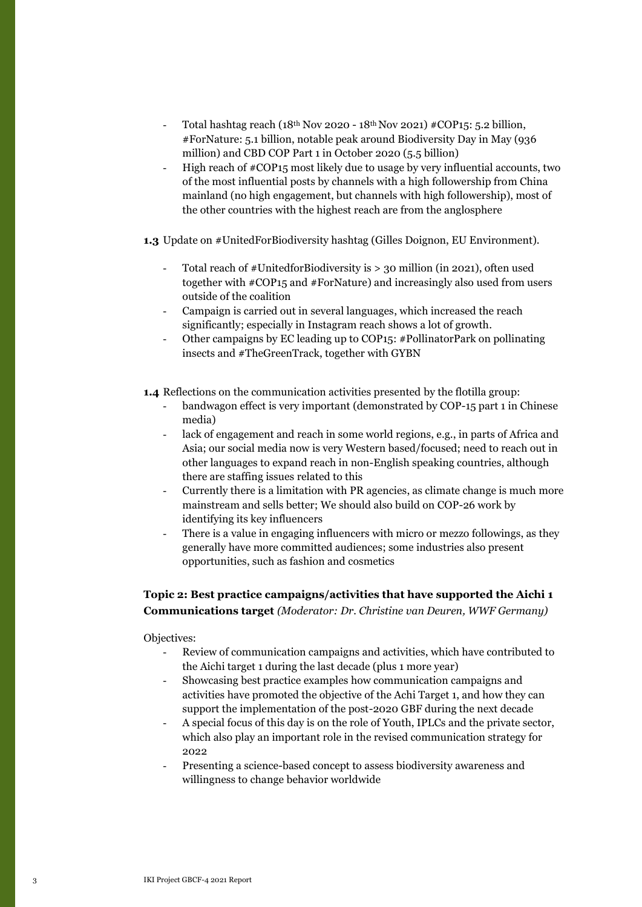- Total hashtag reach ( $18<sup>th</sup> Nov 2020 18<sup>th</sup> Nov 2021$ ) #COP15: 5.2 billion, #ForNature: 5.1 billion, notable peak around Biodiversity Day in May (936 million) and CBD COP Part 1 in October 2020 (5.5 billion)
- High reach of #COP15 most likely due to usage by very influential accounts, two of the most influential posts by channels with a high followership from China mainland (no high engagement, but channels with high followership), most of the other countries with the highest reach are from the anglosphere

**1.3** Update on #UnitedForBiodiversity hashtag (Gilles Doignon, EU Environment).

- Total reach of #UnitedforBiodiversity is > 30 million (in 2021), often used together with #COP15 and #ForNature) and increasingly also used from users outside of the coalition
- Campaign is carried out in several languages, which increased the reach significantly; especially in Instagram reach shows a lot of growth.
- Other campaigns by EC leading up to COP15: #PollinatorPark on pollinating insects and #TheGreenTrack, together with GYBN
- **1.4** Reflections on the communication activities presented by the flotilla group:
	- bandwagon effect is very important (demonstrated by COP-15 part 1 in Chinese media)
	- lack of engagement and reach in some world regions, e.g., in parts of Africa and Asia; our social media now is very Western based/focused; need to reach out in other languages to expand reach in non-English speaking countries, although there are staffing issues related to this
	- Currently there is a limitation with PR agencies, as climate change is much more mainstream and sells better; We should also build on COP-26 work by identifying its key influencers
	- There is a value in engaging influencers with micro or mezzo followings, as they generally have more committed audiences; some industries also present opportunities, such as fashion and cosmetics

**Topic 2: Best practice campaigns/activities that have supported the Aichi 1 Communications target** *(Moderator: Dr. Christine van Deuren, WWF Germany)*

Objectives:

- Review of communication campaigns and activities, which have contributed to the Aichi target 1 during the last decade (plus 1 more year)
- Showcasing best practice examples how communication campaigns and activities have promoted the objective of the Achi Target 1, and how they can support the implementation of the post-2020 GBF during the next decade
- A special focus of this day is on the role of Youth, IPLCs and the private sector, which also play an important role in the revised communication strategy for 2022
- Presenting a science-based concept to assess biodiversity awareness and willingness to change behavior worldwide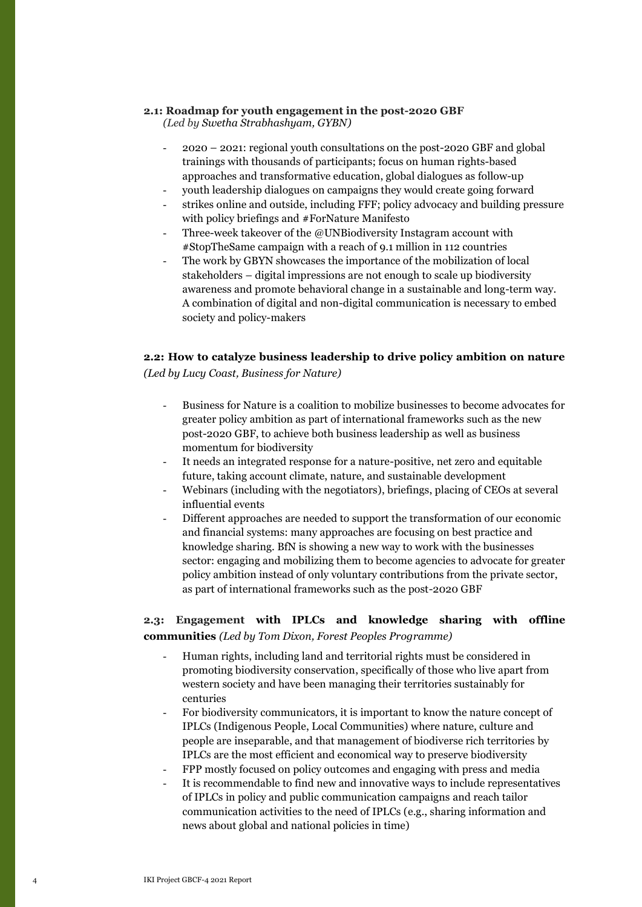# **2.1: Roadmap for youth engagement in the post-2020 GBF**

*(Led by Swetha Strabhashyam, GYBN)*

- 2020 2021: regional youth consultations on the post-2020 GBF and global trainings with thousands of participants; focus on human rights-based approaches and transformative education, global dialogues as follow-up
- youth leadership dialogues on campaigns they would create going forward
- strikes online and outside, including FFF; policy advocacy and building pressure with policy briefings and #ForNature Manifesto
- Three-week takeover of the @UNBiodiversity Instagram account with #StopTheSame campaign with a reach of 9.1 million in 112 countries
- The work by GBYN showcases the importance of the mobilization of local stakeholders – digital impressions are not enough to scale up biodiversity awareness and promote behavioral change in a sustainable and long-term way. A combination of digital and non-digital communication is necessary to embed society and policy-makers

# **2.2: How to catalyze business leadership to drive policy ambition on nature** *(Led by Lucy Coast, Business for Nature)*

- Business for Nature is a coalition to mobilize businesses to become advocates for greater policy ambition as part of international frameworks such as the new post-2020 GBF, to achieve both business leadership as well as business momentum for biodiversity
- It needs an integrated response for a nature-positive, net zero and equitable future, taking account climate, nature, and sustainable development
- Webinars (including with the negotiators), briefings, placing of CEOs at several influential events
- Different approaches are needed to support the transformation of our economic and financial systems: many approaches are focusing on best practice and knowledge sharing. BfN is showing a new way to work with the businesses sector: engaging and mobilizing them to become agencies to advocate for greater policy ambition instead of only voluntary contributions from the private sector, as part of international frameworks such as the post-2020 GBF

# **2.3: Engagement with IPLCs and knowledge sharing with offline communities** *(Led by Tom Dixon, Forest Peoples Programme)*

- Human rights, including land and territorial rights must be considered in promoting biodiversity conservation, specifically of those who live apart from western society and have been managing their territories sustainably for centuries
- For biodiversity communicators, it is important to know the nature concept of IPLCs (Indigenous People, Local Communities) where nature, culture and people are inseparable, and that management of biodiverse rich territories by IPLCs are the most efficient and economical way to preserve biodiversity
- FPP mostly focused on policy outcomes and engaging with press and media
- It is recommendable to find new and innovative ways to include representatives of IPLCs in policy and public communication campaigns and reach tailor communication activities to the need of IPLCs (e.g., sharing information and news about global and national policies in time)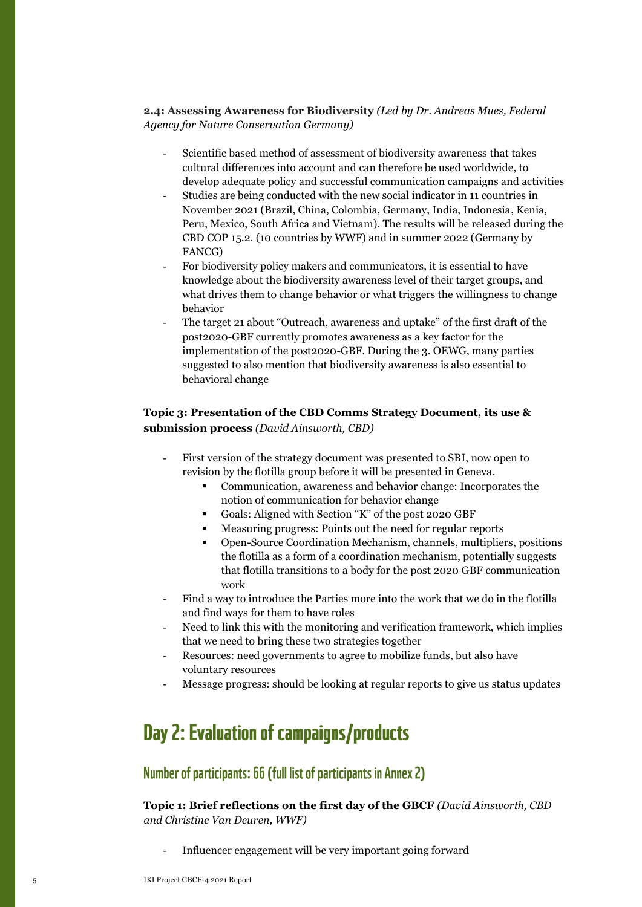# **2.4: Assessing Awareness for Biodiversity** *(Led by Dr. Andreas Mues, Federal Agency for Nature Conservation Germany)*

- Scientific based method of assessment of biodiversity awareness that takes cultural differences into account and can therefore be used worldwide, to develop adequate policy and successful communication campaigns and activities
- Studies are being conducted with the new social indicator in 11 countries in November 2021 (Brazil, China, Colombia, Germany, India, Indonesia, Kenia, Peru, Mexico, South Africa and Vietnam). The results will be released during the CBD COP 15.2. (10 countries by WWF) and in summer 2022 (Germany by FANCG)
- For biodiversity policy makers and communicators, it is essential to have knowledge about the biodiversity awareness level of their target groups, and what drives them to change behavior or what triggers the willingness to change behavior
- The target 21 about "Outreach, awareness and uptake" of the first draft of the post2020-GBF currently promotes awareness as a key factor for the implementation of the post2020-GBF. During the 3. OEWG, many parties suggested to also mention that biodiversity awareness is also essential to behavioral change

# **Topic 3: Presentation of the CBD Comms Strategy Document, its use & submission process** *(David Ainsworth, CBD)*

- First version of the strategy document was presented to SBI, now open to revision by the flotilla group before it will be presented in Geneva.
	- Communication, awareness and behavior change: Incorporates the notion of communication for behavior change
	- Goals: Aligned with Section "K" of the post 2020 GBF
	- Measuring progress: Points out the need for regular reports
	- Open-Source Coordination Mechanism, channels, multipliers, positions the flotilla as a form of a coordination mechanism, potentially suggests that flotilla transitions to a body for the post 2020 GBF communication work
- Find a way to introduce the Parties more into the work that we do in the flotilla and find ways for them to have roles
- Need to link this with the monitoring and verification framework, which implies that we need to bring these two strategies together
- Resources: need governments to agree to mobilize funds, but also have voluntary resources
- Message progress: should be looking at regular reports to give us status updates

# **Day 2: Evaluation of campaigns/products**

# Number of participants: 66 (full list of participants in Annex 2)

**Topic 1: Brief reflections on the first day of the GBCF** *(David Ainsworth, CBD and Christine Van Deuren, WWF)*

- Influencer engagement will be very important going forward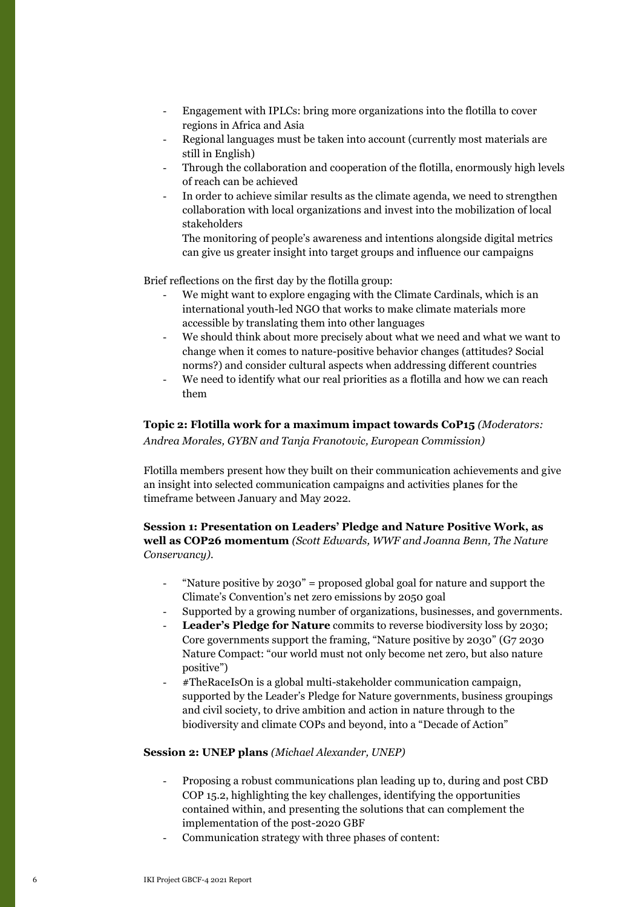- Engagement with IPLCs: bring more organizations into the flotilla to cover regions in Africa and Asia
- Regional languages must be taken into account (currently most materials are still in English)
- Through the collaboration and cooperation of the flotilla, enormously high levels of reach can be achieved
- In order to achieve similar results as the climate agenda, we need to strengthen collaboration with local organizations and invest into the mobilization of local stakeholders

The monitoring of people's awareness and intentions alongside digital metrics can give us greater insight into target groups and influence our campaigns

Brief reflections on the first day by the flotilla group:

- We might want to explore engaging with the Climate Cardinals, which is an international youth-led NGO that works to make climate materials more accessible by translating them into other languages
- We should think about more precisely about what we need and what we want to change when it comes to nature-positive behavior changes (attitudes? Social norms?) and consider cultural aspects when addressing different countries
- We need to identify what our real priorities as a flotilla and how we can reach them

# **Topic 2: Flotilla work for a maximum impact towards CoP15** *(Moderators: Andrea Morales, GYBN and Tanja Franotovic, European Commission)*

Flotilla members present how they built on their communication achievements and give an insight into selected communication campaigns and activities planes for the timeframe between January and May 2022.

# **Session 1: Presentation on Leaders' Pledge and Nature Positive Work, as well as COP26 momentum** *(Scott Edwards, WWF and Joanna Benn, The Nature Conservancy).*

- "Nature positive by  $2030"$  = proposed global goal for nature and support the Climate's Convention's net zero emissions by 2050 goal
- Supported by a growing number of organizations, businesses, and governments.
- **Leader's Pledge for Nature** commits to reverse biodiversity loss by 2030; Core governments support the framing, "Nature positive by 2030" (G7 2030 Nature Compact: "our world must not only become net zero, but also nature positive")
- #TheRaceIsOn is a global multi-stakeholder communication campaign, supported by the Leader's Pledge for Nature governments, business groupings and civil society, to drive ambition and action in nature through to the biodiversity and climate COPs and beyond, into a "Decade of Action"

### **Session 2: UNEP plans** *(Michael Alexander, UNEP)*

- Proposing a robust communications plan leading up to, during and post CBD COP 15.2, highlighting the key challenges, identifying the opportunities contained within, and presenting the solutions that can complement the implementation of the post-2020 GBF
- Communication strategy with three phases of content: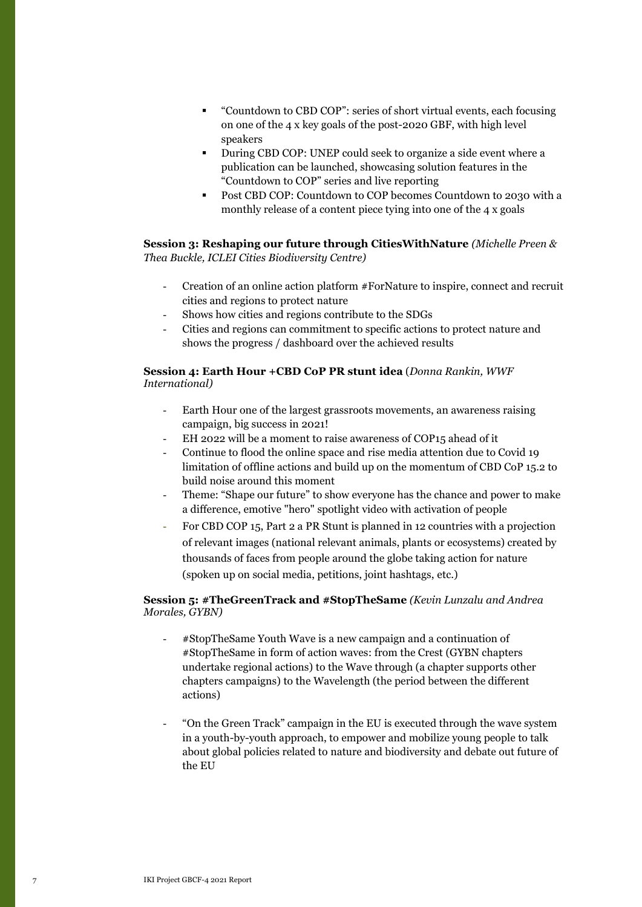- "Countdown to CBD COP": series of short virtual events, each focusing on one of the 4 x key goals of the post-2020 GBF, with high level speakers
- During CBD COP: UNEP could seek to organize a side event where a publication can be launched, showcasing solution features in the "Countdown to COP" series and live reporting
- Post CBD COP: Countdown to COP becomes Countdown to 2030 with a monthly release of a content piece tying into one of the 4 x goals

**Session 3: Reshaping our future through CitiesWithNature** *(Michelle Preen & Thea Buckle, ICLEI Cities Biodiversity Centre)*

- Creation of an online action platform #ForNature to inspire, connect and recruit cities and regions to protect nature
- Shows how cities and regions contribute to the SDGs
- Cities and regions can commitment to specific actions to protect nature and shows the progress / dashboard over the achieved results

### **Session 4: Earth Hour +CBD CoP PR stunt idea** (*Donna Rankin, WWF International)*

- Earth Hour one of the largest grassroots movements, an awareness raising campaign, big success in 2021!
- EH 2022 will be a moment to raise awareness of COP15 ahead of it
- Continue to flood the online space and rise media attention due to Covid 19 limitation of offline actions and build up on the momentum of CBD CoP 15.2 to build noise around this moment
- Theme: "Shape our future" to show everyone has the chance and power to make a difference, emotive "hero" spotlight video with activation of people
- For CBD COP 15, Part 2 a PR Stunt is planned in 12 countries with a projection of relevant images (national relevant animals, plants or ecosystems) created by thousands of faces from people around the globe taking action for nature (spoken up on social media, petitions, joint hashtags, etc.)

# **Session 5: #TheGreenTrack and #StopTheSame** *(Kevin Lunzalu and Andrea Morales, GYBN)*

- #StopTheSame Youth Wave is a new campaign and a continuation of #StopTheSame in form of action waves: from the Crest (GYBN chapters undertake regional actions) to the Wave through (a chapter supports other chapters campaigns) to the Wavelength (the period between the different actions)
- "On the Green Track" campaign in the EU is executed through the wave system in a youth-by-youth approach, to empower and mobilize young people to talk about global policies related to nature and biodiversity and debate out future of the EU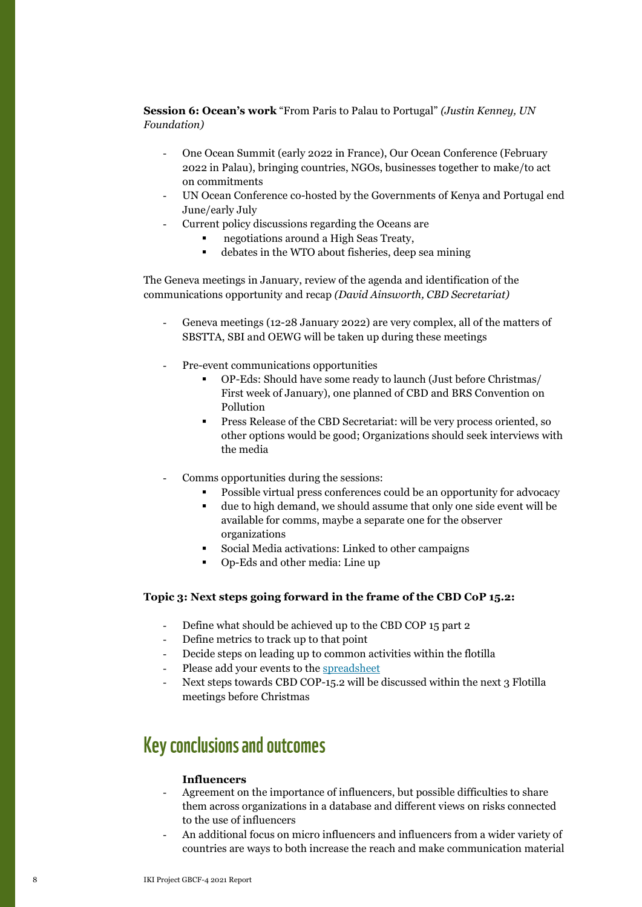# **Session 6: Ocean's work** "From Paris to Palau to Portugal" *(Justin Kenney, UN Foundation)*

- One Ocean Summit (early 2022 in France), Our Ocean Conference (February 2022 in Palau), bringing countries, NGOs, businesses together to make/to act on commitments
- UN Ocean Conference co-hosted by the Governments of Kenya and Portugal end June/early July
- Current policy discussions regarding the Oceans are
	- negotiations around a High Seas Treaty,
	- debates in the WTO about fisheries, deep sea mining

The Geneva meetings in January, review of the agenda and identification of the communications opportunity and recap *(David Ainsworth, CBD Secretariat)*

- Geneva meetings (12-28 January 2022) are very complex, all of the matters of SBSTTA, SBI and OEWG will be taken up during these meetings
- Pre-event communications opportunities
	- OP-Eds: Should have some ready to launch (Just before Christmas/ First week of January), one planned of CBD and BRS Convention on Pollution
	- **•** Press Release of the CBD Secretariat: will be very process oriented, so other options would be good; Organizations should seek interviews with the media
- Comms opportunities during the sessions:
	- Possible virtual press conferences could be an opportunity for advocacy
	- due to high demand, we should assume that only one side event will be available for comms, maybe a separate one for the observer organizations
	- Social Media activations: Linked to other campaigns
	- Op-Eds and other media: Line up

# **Topic 3: Next steps going forward in the frame of the CBD CoP 15.2:**

- Define what should be achieved up to the CBD COP 15 part 2
- Define metrics to track up to that point
- Decide steps on leading up to common activities within the flotilla
- Please add your events to th[e spreadsheet](https://docs.google.com/spreadsheets/d/1k7FLy6hFWYcE_YeY7qZzzHlCSj-IPan2E_v9RKBmJFM/edit#gid=0)
- Next steps towards CBD COP-15.2 will be discussed within the next 3 Flotilla meetings before Christmas

# Key conclusions and outcomes

### **Influencers**

- Agreement on the importance of influencers, but possible difficulties to share them across organizations in a database and different views on risks connected to the use of influencers
- An additional focus on micro influencers and influencers from a wider variety of countries are ways to both increase the reach and make communication material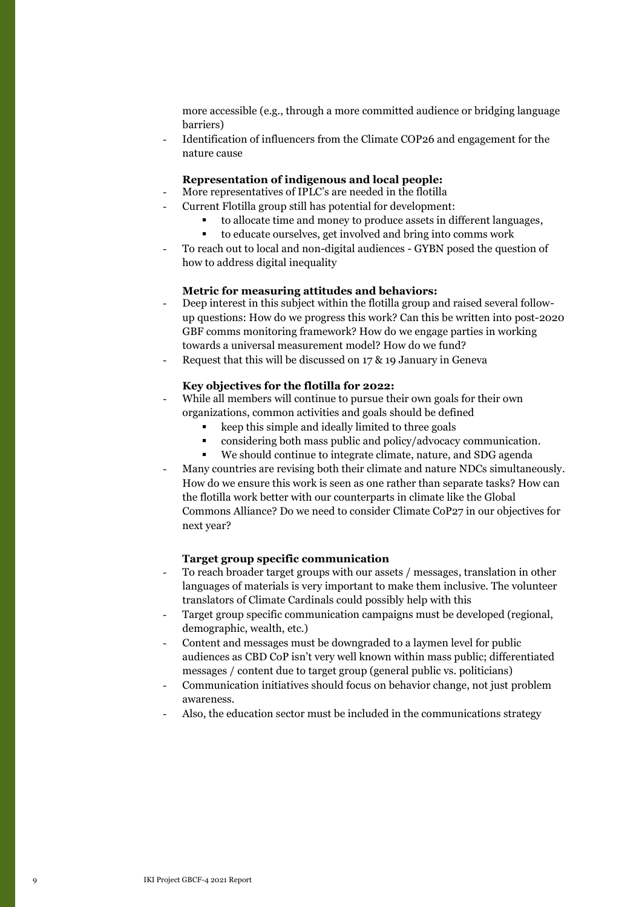more accessible (e.g., through a more committed audience or bridging language barriers)

Identification of influencers from the Climate COP26 and engagement for the nature cause

# **Representation of indigenous and local people:**

- More representatives of IPLC's are needed in the flotilla
- Current Flotilla group still has potential for development:
	- to allocate time and money to produce assets in different languages,
	- to educate ourselves, get involved and bring into comms work
- To reach out to local and non-digital audiences GYBN posed the question of how to address digital inequality

# **Metric for measuring attitudes and behaviors:**

- Deep interest in this subject within the flotilla group and raised several followup questions: How do we progress this work? Can this be written into post-2020 GBF comms monitoring framework? How do we engage parties in working towards a universal measurement model? How do we fund?
- Request that this will be discussed on 17 & 19 January in Geneva

# **Key objectives for the flotilla for 2022:**

- While all members will continue to pursue their own goals for their own organizations, common activities and goals should be defined
	- keep this simple and ideally limited to three goals
	- considering both mass public and policy/advocacy communication.
	- We should continue to integrate climate, nature, and SDG agenda
- Many countries are revising both their climate and nature NDCs simultaneously. How do we ensure this work is seen as one rather than separate tasks? How can the flotilla work better with our counterparts in climate like the Global Commons Alliance? Do we need to consider Climate CoP27 in our objectives for next year?

### **Target group specific communication**

- To reach broader target groups with our assets / messages, translation in other languages of materials is very important to make them inclusive. The volunteer translators of Climate Cardinals could possibly help with this
- Target group specific communication campaigns must be developed (regional, demographic, wealth, etc.)
- Content and messages must be downgraded to a laymen level for public audiences as CBD CoP isn't very well known within mass public; differentiated messages / content due to target group (general public vs. politicians)
- Communication initiatives should focus on behavior change, not just problem awareness.
- Also, the education sector must be included in the communications strategy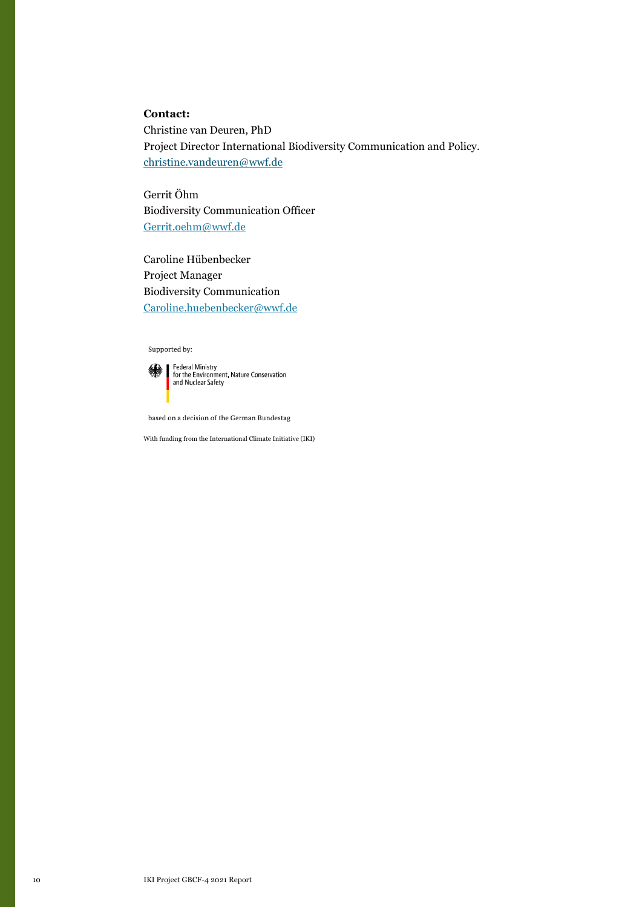# **Contact:**

Christine van Deuren, PhD Project Director International Biodiversity Communication and Policy. [christine.vandeuren@wwf.de](mailto:christine.vandeuren@wwf.de)

Gerrit Öhm Biodiversity Communication Officer [Gerrit.oehm@wwf.de](mailto:Gerrit.oehm@wwf.de)

Caroline Hübenbecker Project Manager Biodiversity Communication Caroline.huebenbecker@wwf.de

Supported by:



**based on a decision of the German Bundestag** 

With funding from the International Climate Initiative (IKI)

10 IKI Project GBCF-4 2021 Report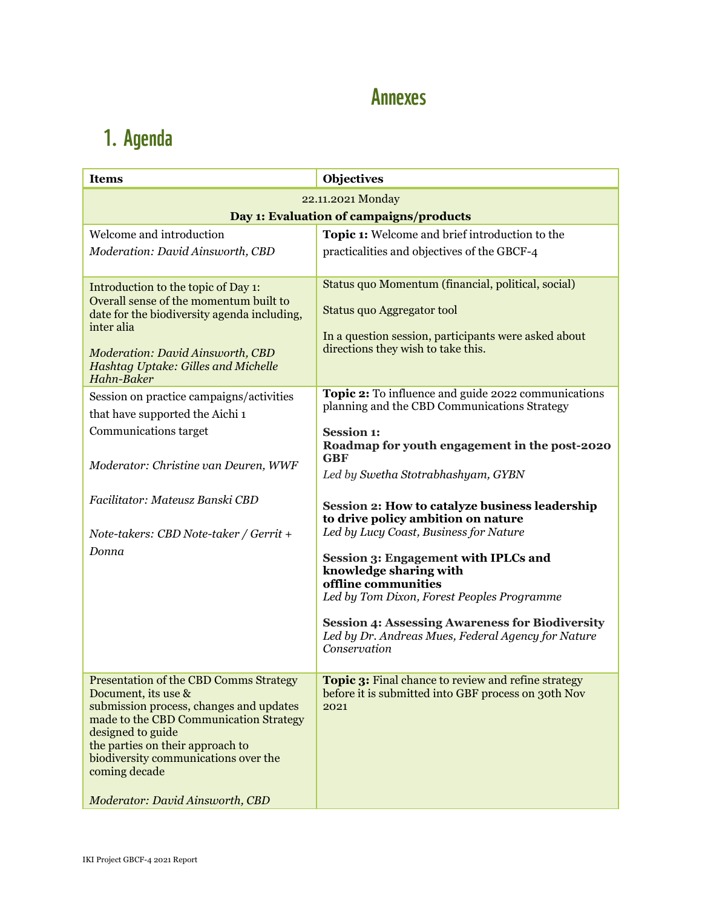# Annexes

# 1. Agenda

| <b>Items</b>                                                                                        | <b>Objectives</b>                                                                                                            |  |
|-----------------------------------------------------------------------------------------------------|------------------------------------------------------------------------------------------------------------------------------|--|
|                                                                                                     | 22.11.2021 Monday                                                                                                            |  |
| Day 1: Evaluation of campaigns/products                                                             |                                                                                                                              |  |
| Welcome and introduction                                                                            | Topic 1: Welcome and brief introduction to the                                                                               |  |
| Moderation: David Ainsworth, CBD                                                                    | practicalities and objectives of the GBCF-4                                                                                  |  |
|                                                                                                     |                                                                                                                              |  |
| Introduction to the topic of Day 1:                                                                 | Status quo Momentum (financial, political, social)                                                                           |  |
| Overall sense of the momentum built to<br>date for the biodiversity agenda including,<br>inter alia | Status quo Aggregator tool                                                                                                   |  |
|                                                                                                     | In a question session, participants were asked about                                                                         |  |
| Moderation: David Ainsworth, CBD<br><b>Hashtag Uptake: Gilles and Michelle</b><br>Hahn-Baker        | directions they wish to take this.                                                                                           |  |
| Session on practice campaigns/activities                                                            | Topic 2: To influence and guide 2022 communications                                                                          |  |
| that have supported the Aichi 1                                                                     | planning and the CBD Communications Strategy                                                                                 |  |
| Communications target                                                                               | <b>Session 1:</b>                                                                                                            |  |
| Moderator: Christine van Deuren, WWF                                                                | Roadmap for youth engagement in the post-2020<br><b>GBF</b>                                                                  |  |
|                                                                                                     | Led by Swetha Stotrabhashyam, GYBN                                                                                           |  |
| Facilitator: Mateusz Banski CBD                                                                     | <b>Session 2: How to catalyze business leadership</b><br>to drive policy ambition on nature                                  |  |
| Note-takers: CBD Note-taker / Gerrit +                                                              | Led by Lucy Coast, Business for Nature                                                                                       |  |
| Donna                                                                                               | <b>Session 3: Engagement with IPLCs and</b>                                                                                  |  |
|                                                                                                     | knowledge sharing with                                                                                                       |  |
|                                                                                                     | offline communities<br>Led by Tom Dixon, Forest Peoples Programme                                                            |  |
|                                                                                                     |                                                                                                                              |  |
|                                                                                                     | <b>Session 4: Assessing Awareness for Biodiversity</b><br>Led by Dr. Andreas Mues, Federal Agency for Nature<br>Conservation |  |
| Presentation of the CBD Comms Strategy<br>Document, its use $\&$                                    | Topic 3: Final chance to review and refine strategy<br>before it is submitted into GBF process on 30th Nov                   |  |
| submission process, changes and updates                                                             | 2021                                                                                                                         |  |
| made to the CBD Communication Strategy<br>designed to guide                                         |                                                                                                                              |  |
| the parties on their approach to                                                                    |                                                                                                                              |  |
| biodiversity communications over the<br>coming decade                                               |                                                                                                                              |  |
|                                                                                                     |                                                                                                                              |  |
| Moderator: David Ainsworth, CBD                                                                     |                                                                                                                              |  |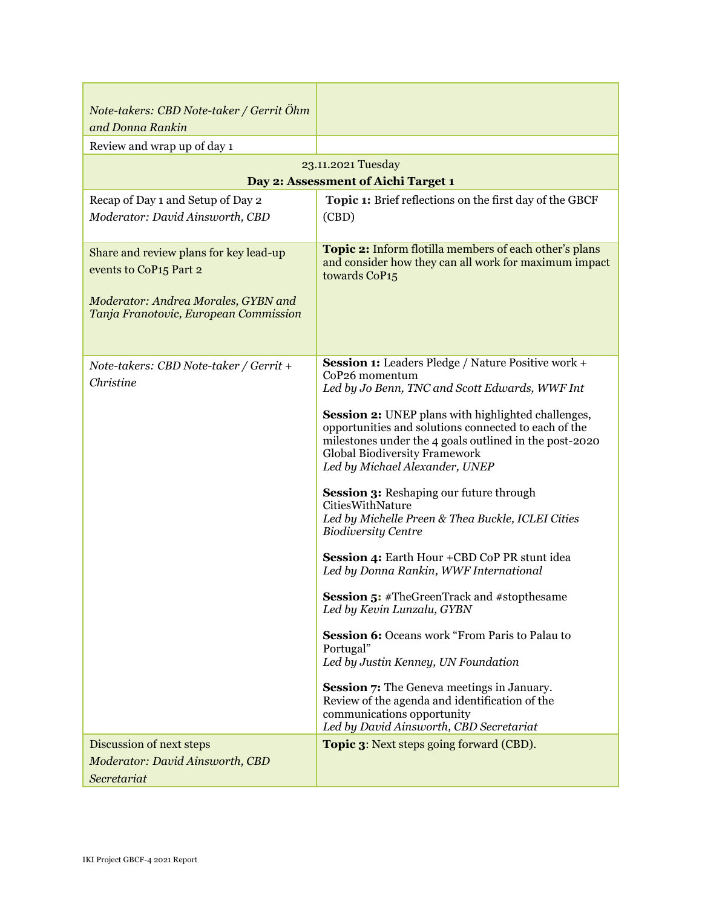| Note-takers: CBD Note-taker / Gerrit Öhm<br>and Donna Rankin                                                                                     |                                                                                                                                                                                                                                                                                                                                                                                                                                                                                                                                                                                                                                                                                                                                                                                                                                                                                                                                                                                                |  |
|--------------------------------------------------------------------------------------------------------------------------------------------------|------------------------------------------------------------------------------------------------------------------------------------------------------------------------------------------------------------------------------------------------------------------------------------------------------------------------------------------------------------------------------------------------------------------------------------------------------------------------------------------------------------------------------------------------------------------------------------------------------------------------------------------------------------------------------------------------------------------------------------------------------------------------------------------------------------------------------------------------------------------------------------------------------------------------------------------------------------------------------------------------|--|
| Review and wrap up of day 1                                                                                                                      |                                                                                                                                                                                                                                                                                                                                                                                                                                                                                                                                                                                                                                                                                                                                                                                                                                                                                                                                                                                                |  |
| 23.11.2021 Tuesday                                                                                                                               |                                                                                                                                                                                                                                                                                                                                                                                                                                                                                                                                                                                                                                                                                                                                                                                                                                                                                                                                                                                                |  |
| Day 2: Assessment of Aichi Target 1                                                                                                              |                                                                                                                                                                                                                                                                                                                                                                                                                                                                                                                                                                                                                                                                                                                                                                                                                                                                                                                                                                                                |  |
| Recap of Day 1 and Setup of Day 2                                                                                                                | Topic 1: Brief reflections on the first day of the GBCF                                                                                                                                                                                                                                                                                                                                                                                                                                                                                                                                                                                                                                                                                                                                                                                                                                                                                                                                        |  |
| Moderator: David Ainsworth, CBD                                                                                                                  | (CBD)                                                                                                                                                                                                                                                                                                                                                                                                                                                                                                                                                                                                                                                                                                                                                                                                                                                                                                                                                                                          |  |
| Share and review plans for key lead-up<br>events to CoP15 Part 2<br>Moderator: Andrea Morales, GYBN and<br>Tanja Franotovic, European Commission | Topic 2: Inform flotilla members of each other's plans<br>and consider how they can all work for maximum impact<br>towards CoP <sub>15</sub>                                                                                                                                                                                                                                                                                                                                                                                                                                                                                                                                                                                                                                                                                                                                                                                                                                                   |  |
| Note-takers: CBD Note-taker / Gerrit +<br>Christine                                                                                              | Session 1: Leaders Pledge / Nature Positive work +<br>CoP26 momentum<br>Led by Jo Benn, TNC and Scott Edwards, WWF Int<br>Session 2: UNEP plans with highlighted challenges,<br>opportunities and solutions connected to each of the<br>milestones under the 4 goals outlined in the post-2020<br>Global Biodiversity Framework<br>Led by Michael Alexander, UNEP<br><b>Session 3: Reshaping our future through</b><br>CitiesWithNature<br>Led by Michelle Preen & Thea Buckle, ICLEI Cities<br><b>Biodiversity Centre</b><br>Session 4: Earth Hour + CBD CoP PR stunt idea<br>Led by Donna Rankin, WWF International<br><b>Session 5:</b> #TheGreenTrack and #stopthesame<br>Led by Kevin Lunzalu, GYBN<br><b>Session 6:</b> Oceans work "From Paris to Palau to<br>Portugal"<br>Led by Justin Kenney, UN Foundation<br>Session 7: The Geneva meetings in January.<br>Review of the agenda and identification of the<br>communications opportunity<br>Led by David Ainsworth, CBD Secretariat |  |
| Discussion of next steps<br>Moderator: David Ainsworth, CBD                                                                                      | <b>Topic 3:</b> Next steps going forward (CBD).                                                                                                                                                                                                                                                                                                                                                                                                                                                                                                                                                                                                                                                                                                                                                                                                                                                                                                                                                |  |
| Secretariat                                                                                                                                      |                                                                                                                                                                                                                                                                                                                                                                                                                                                                                                                                                                                                                                                                                                                                                                                                                                                                                                                                                                                                |  |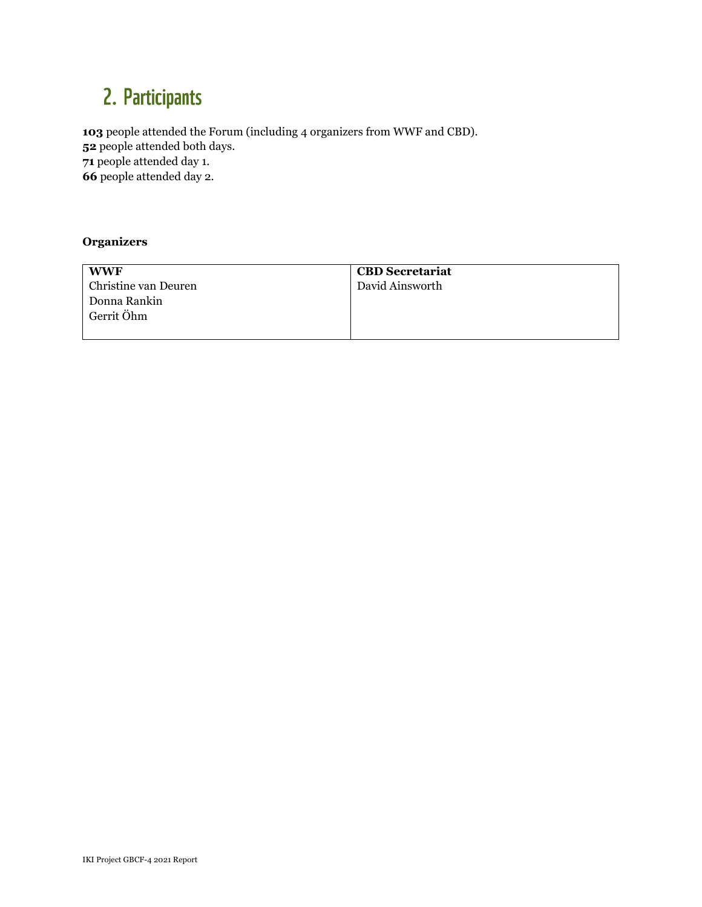# 2. Participants

 people attended the Forum (including 4 organizers from WWF and CBD). people attended both days. people attended day 1. people attended day 2.

# **Organizers**

| <b>WWF</b>           | <b>CBD</b> Secretariat |
|----------------------|------------------------|
| Christine van Deuren | David Ainsworth        |
| <b>Donna Rankin</b>  |                        |
| Gerrit Öhm           |                        |
|                      |                        |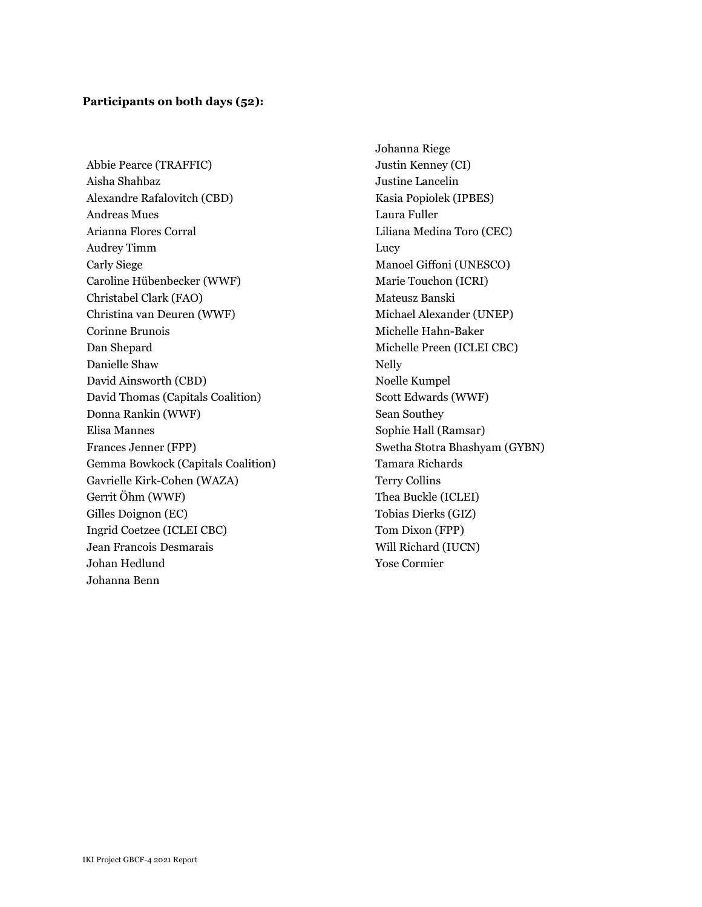### **Participants on both days (52):**

Abbie Pearce (TRAFFIC) Aisha Shahbaz Alexandre Rafalovitch (CBD) Andreas Mues Arianna Flores Corral Audrey Timm Carly Siege Caroline Hübenbecker (WWF) Christabel Clark (FAO) Christina van Deuren (WWF) Corinne Brunois Dan Shepard Danielle Shaw David Ainsworth (CBD) David Thomas (Capitals Coalition) Donna Rankin (WWF) Elisa Mannes Frances Jenner (FPP) Gemma Bowkock (Capitals Coalition) Gavrielle Kirk-Cohen (WAZA) Gerrit Öhm (WWF) Gilles Doignon (EC) Ingrid Coetzee (ICLEI CBC) Jean Francois Desmarais Johan Hedlund Johanna Benn

Johanna Riege Justin Kenney (CI) Justine Lancelin Kasia Popiolek (IPBES) Laura Fuller Liliana Medina Toro (CEC) Lucy Manoel Giffoni (UNESCO) Marie Touchon (ICRI) Mateusz Banski Michael Alexander (UNEP) Michelle Hahn-Baker Michelle Preen (ICLEI CBC) Nelly Noelle Kumpel Scott Edwards (WWF) Sean Southey Sophie Hall (Ramsar) Swetha Stotra Bhashyam (GYBN) Tamara Richards Terry Collins Thea Buckle (ICLEI) Tobias Dierks (GIZ) Tom Dixon (FPP) Will Richard (IUCN) Yose Cormier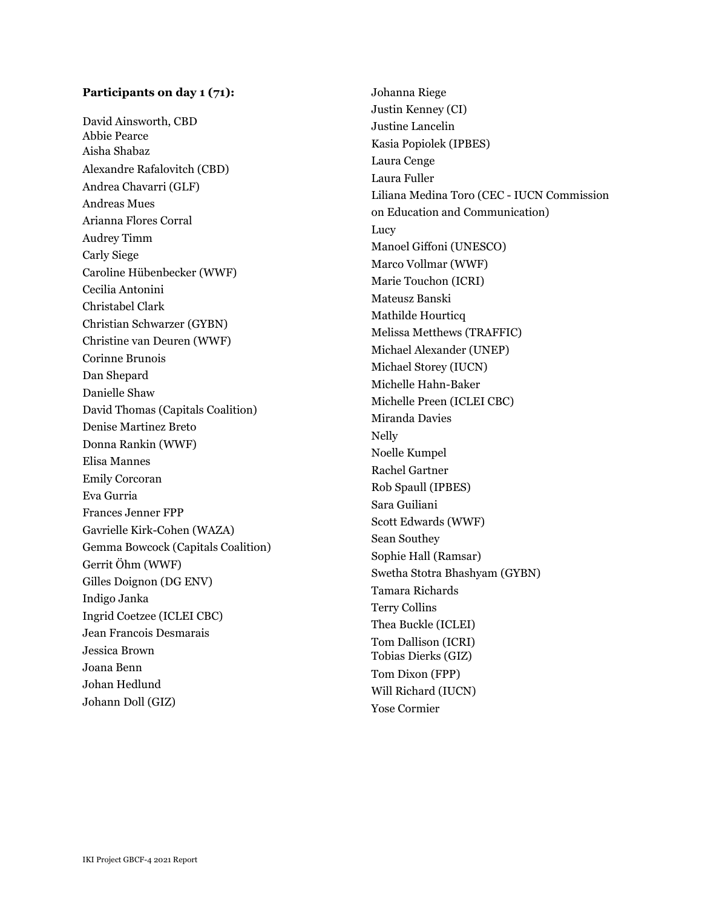# **Participants on day 1 (71):**

David Ainsworth, CBD Abbie Pearce Aisha Shabaz Alexandre Rafalovitch (CBD) Andrea Chavarri (GLF) Andreas Mues Arianna Flores Corral Audrey Timm Carly Siege Caroline Hübenbecker (WWF) Cecilia Antonini Christabel Clark Christian Schwarzer (GYBN) Christine van Deuren (WWF) Corinne Brunois Dan Shepard Danielle Shaw David Thomas (Capitals Coalition) Denise Martinez Breto Donna Rankin (WWF) Elisa Mannes Emily Corcoran Eva Gurria Frances Jenner FPP Gavrielle Kirk-Cohen (WAZA) Gemma Bowcock (Capitals Coalition) Gerrit Öhm (WWF) Gilles Doignon (DG ENV) Indigo Janka Ingrid Coetzee (ICLEI CBC) Jean Francois Desmarais Jessica Brown Joana Benn Johan Hedlund Johann Doll (GIZ)

Johanna Riege Justin Kenney (CI) Justine Lancelin Kasia Popiolek (IPBES) Laura Cenge Laura Fuller Liliana Medina Toro (CEC - IUCN Commission on Education and Communication) **Lucy** Manoel Giffoni (UNESCO) Marco Vollmar (WWF) Marie Touchon (ICRI) Mateusz Banski Mathilde Hourticq Melissa Metthews (TRAFFIC) Michael Alexander (UNEP) Michael Storey (IUCN) Michelle Hahn-Baker Michelle Preen (ICLEI CBC) Miranda Davies Nelly Noelle Kumpel Rachel Gartner Rob Spaull (IPBES) Sara Guiliani Scott Edwards (WWF) Sean Southey Sophie Hall (Ramsar) Swetha Stotra Bhashyam (GYBN) Tamara Richards Terry Collins Thea Buckle (ICLEI) Tom Dallison (ICRI) Tobias Dierks (GIZ) Tom Dixon (FPP) Will Richard (IUCN) Yose Cormier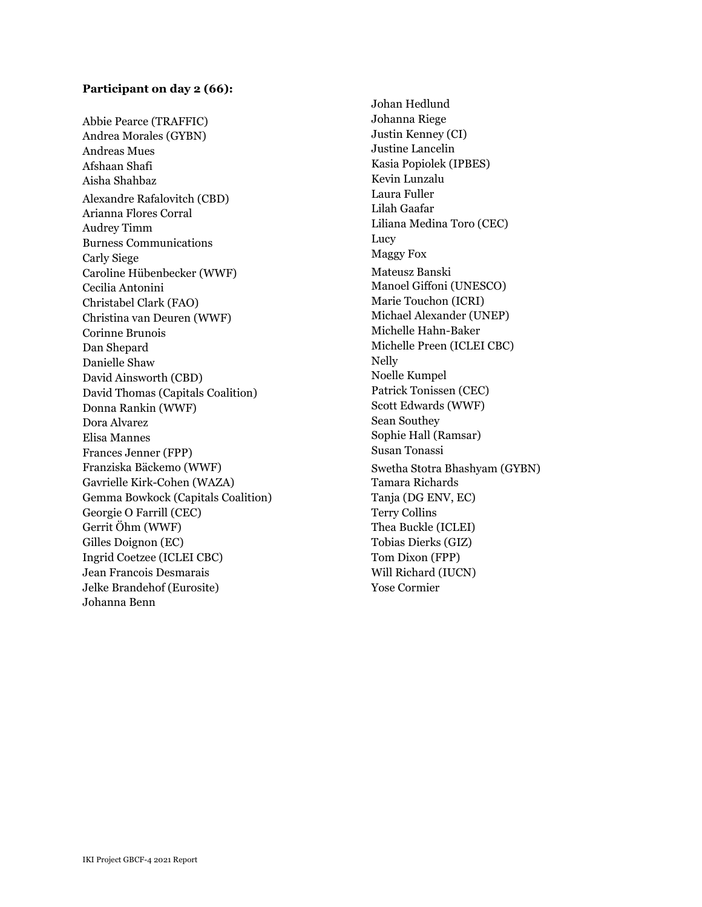# **Participant on day 2 (66):**

Abbie Pearce (TRAFFIC) Andrea Morales (GYBN) Andreas Mues Afshaan Shafi Aisha Shahbaz Alexandre Rafalovitch (CBD) Arianna Flores Corral Audrey Timm Burness Communications Carly Siege Caroline Hübenbecker (WWF) Cecilia Antonini Christabel Clark (FAO) Christina van Deuren (WWF) Corinne Brunois Dan Shepard Danielle Shaw David Ainsworth (CBD) David Thomas (Capitals Coalition) Donna Rankin (WWF) Dora Alvarez Elisa Mannes Frances Jenner (FPP) Franziska Bäckemo (WWF) Gavrielle Kirk-Cohen (WAZA) Gemma Bowkock (Capitals Coalition) Georgie O Farrill (CEC) Gerrit Öhm (WWF) Gilles Doignon (EC) Ingrid Coetzee (ICLEI CBC) Jean Francois Desmarais Jelke Brandehof (Eurosite) Johanna Benn

Johan Hedlund Johanna Riege Justin Kenney (CI) Justine Lancelin Kasia Popiolek (IPBES) Kevin Lunzalu Laura Fuller Lilah Gaafar Liliana Medina Toro (CEC) Lucy Maggy Fox Mateusz Banski Manoel Giffoni (UNESCO) Marie Touchon (ICRI) Michael Alexander (UNEP) Michelle Hahn-Baker Michelle Preen (ICLEI CBC) Nelly Noelle Kumpel Patrick Tonissen (CEC) Scott Edwards (WWF) Sean Southey Sophie Hall (Ramsar) Susan Tonassi Swetha Stotra Bhashyam (GYBN) Tamara Richards Tanja (DG ENV, EC) Terry Collins Thea Buckle (ICLEI) Tobias Dierks (GIZ) Tom Dixon (FPP) Will Richard (IUCN) Yose Cormier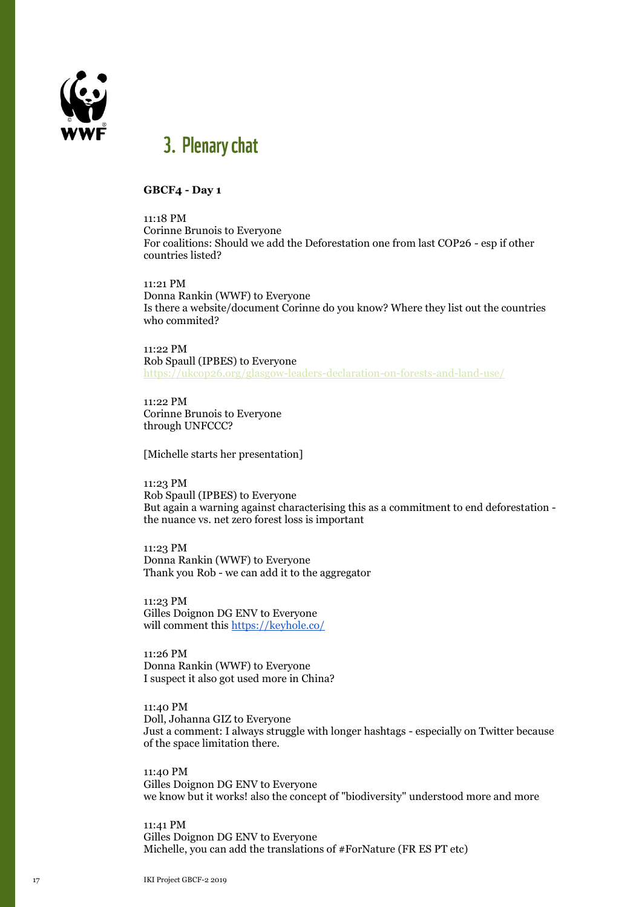

# <sup>~</sup>**WWF** 3. Plenary chat

#### **GBCF4 - Day 1**

11:18 PM Corinne Brunois to Everyone For coalitions: Should we add the Deforestation one from last COP26 - esp if other countries listed?

11:21 PM Donna Rankin (WWF) to Everyone Is there a website/document Corinne do you know? Where they list out the countries who commited?

11:22 PM Rob Spaull (IPBES) to Everyone <https://ukcop26.org/glasgow-leaders-declaration-on-forests-and-land-use/>

11:22 PM Corinne Brunois to Everyone through UNFCCC?

[Michelle starts her presentation]

11:23 PM Rob Spaull (IPBES) to Everyone But again a warning against characterising this as a commitment to end deforestation the nuance vs. net zero forest loss is important

11:23 PM Donna Rankin (WWF) to Everyone Thank you Rob - we can add it to the aggregator

11:23 PM Gilles Doignon DG ENV to Everyone will comment this<https://keyhole.co/>

11:26 PM Donna Rankin (WWF) to Everyone I suspect it also got used more in China?

11:40 PM Doll, Johanna GIZ to Everyone Just a comment: I always struggle with longer hashtags - especially on Twitter because of the space limitation there.

11:40 PM Gilles Doignon DG ENV to Everyone we know but it works! also the concept of "biodiversity" understood more and more

11:41 PM Gilles Doignon DG ENV to Everyone Michelle, you can add the translations of #ForNature (FR ES PT etc)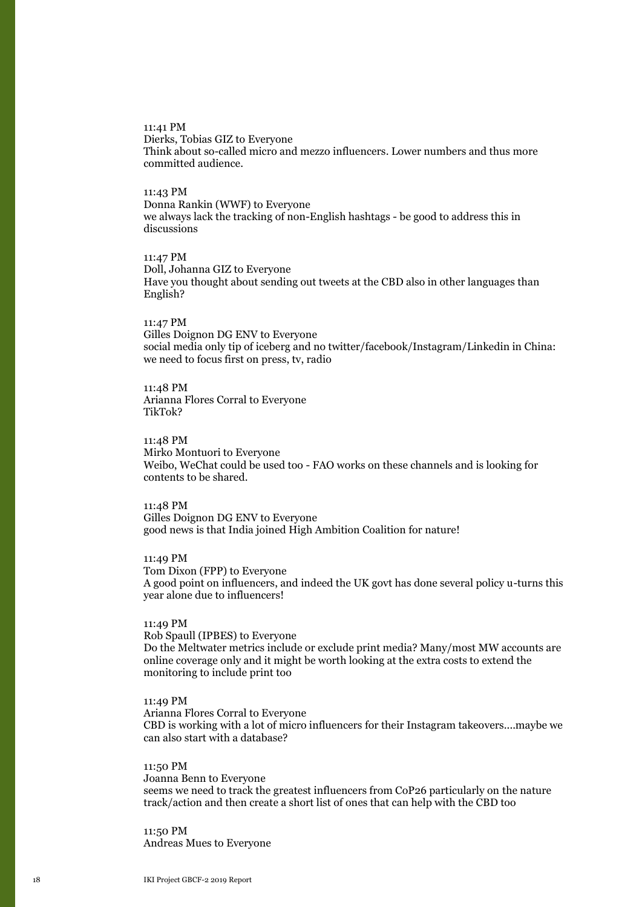11:41 PM Dierks, Tobias GIZ to Everyone Think about so-called micro and mezzo influencers. Lower numbers and thus more committed audience.

### 11:43 PM

Donna Rankin (WWF) to Everyone we always lack the tracking of non-English hashtags - be good to address this in discussions

11:47 PM Doll, Johanna GIZ to Everyone Have you thought about sending out tweets at the CBD also in other languages than English?

#### 11:47 PM

Gilles Doignon DG ENV to Everyone social media only tip of iceberg and no twitter/facebook/Instagram/Linkedin in China: we need to focus first on press, tv, radio

11:48 PM Arianna Flores Corral to Everyone TikTok?

11:48 PM Mirko Montuori to Everyone Weibo, WeChat could be used too - FAO works on these channels and is looking for contents to be shared.

11:48 PM Gilles Doignon DG ENV to Everyone good news is that India joined High Ambition Coalition for nature!

11:49 PM Tom Dixon (FPP) to Everyone A good point on influencers, and indeed the UK govt has done several policy u-turns this year alone due to influencers!

#### 11:49 PM

Rob Spaull (IPBES) to Everyone Do the Meltwater metrics include or exclude print media? Many/most MW accounts are online coverage only and it might be worth looking at the extra costs to extend the monitoring to include print too

11:49 PM

Arianna Flores Corral to Everyone CBD is working with a lot of micro influencers for their Instagram takeovers....maybe we can also start with a database?

#### 11:50 PM

Joanna Benn to Everyone seems we need to track the greatest influencers from CoP26 particularly on the nature track/action and then create a short list of ones that can help with the CBD too

11:50 PM Andreas Mues to Everyone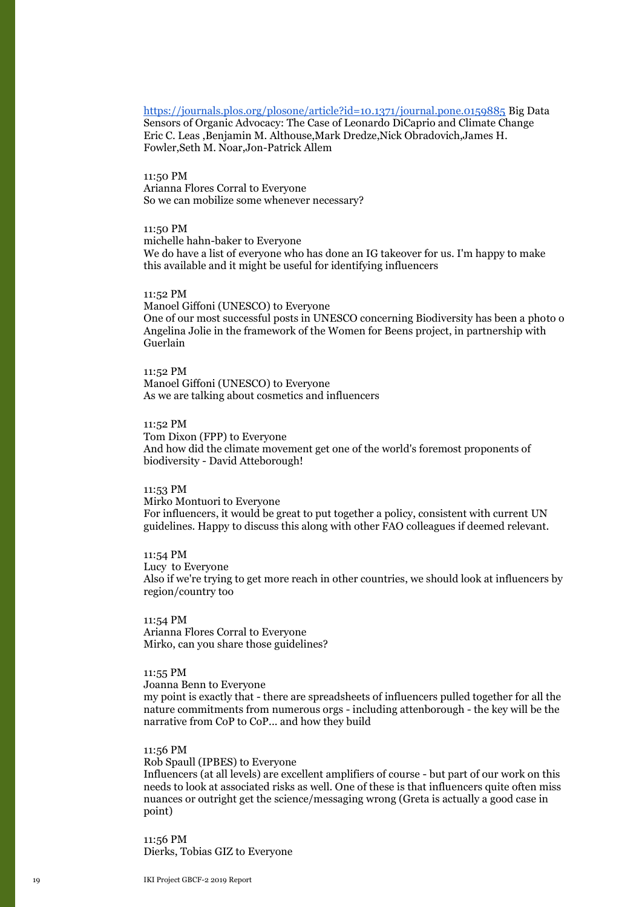### <https://journals.plos.org/plosone/article?id=10.1371/journal.pone.0159885> Big Data

Sensors of Organic Advocacy: The Case of Leonardo DiCaprio and Climate Change Eric C. Leas ,Benjamin M. Althouse,Mark Dredze,Nick Obradovich,James H. Fowler,Seth M. Noar,Jon-Patrick Allem

11:50 PM Arianna Flores Corral to Everyone So we can mobilize some whenever necessary?

#### 11:50 PM

michelle hahn-baker to Everyone We do have a list of everyone who has done an IG takeover for us. I'm happy to make this available and it might be useful for identifying influencers

#### 11:52 PM

Manoel Giffoni (UNESCO) to Everyone One of our most successful posts in UNESCO concerning Biodiversity has been a photo o Angelina Jolie in the framework of the Women for Beens project, in partnership with Guerlain

#### 11:52 PM Manoel Giffoni (UNESCO) to Everyone As we are talking about cosmetics and influencers

11:52 PM

Tom Dixon (FPP) to Everyone And how did the climate movement get one of the world's foremost proponents of biodiversity - David Atteborough!

#### 11:53 PM

Mirko Montuori to Everyone For influencers, it would be great to put together a policy, consistent with current UN guidelines. Happy to discuss this along with other FAO colleagues if deemed relevant.

11:54 PM Lucy to Everyone Also if we're trying to get more reach in other countries, we should look at influencers by region/country too

11:54 PM Arianna Flores Corral to Everyone Mirko, can you share those guidelines?

#### 11:55 PM

Joanna Benn to Everyone

my point is exactly that - there are spreadsheets of influencers pulled together for all the nature commitments from numerous orgs - including attenborough - the key will be the narrative from CoP to CoP... and how they build

#### 11:56 PM

Rob Spaull (IPBES) to Everyone

Influencers (at all levels) are excellent amplifiers of course - but part of our work on this needs to look at associated risks as well. One of these is that influencers quite often miss nuances or outright get the science/messaging wrong (Greta is actually a good case in point)

11:56 PM Dierks, Tobias GIZ to Everyone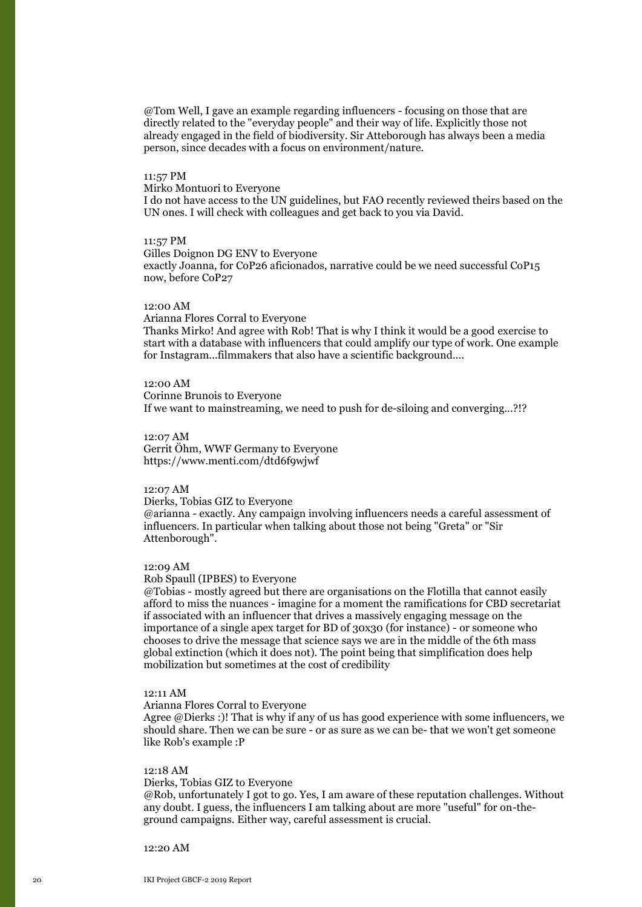@Tom Well, I gave an example regarding influencers - focusing on those that are directly related to the "everyday people" and their way of life. Explicitly those not already engaged in the field of biodiversity. Sir Atteborough has always been a media person, since decades with a focus on environment/nature.

#### 11:57 PM

Mirko Montuori to Everyone

I do not have access to the UN guidelines, but FAO recently reviewed theirs based on the UN ones. I will check with colleagues and get back to you via David.

#### 11:57 PM

Gilles Doignon DG ENV to Everyone exactly Joanna, for CoP26 aficionados, narrative could be we need successful CoP15 now, before CoP27

#### 12:00 AM

Arianna Flores Corral to Everyone Thanks Mirko! And agree with Rob! That is why I think it would be a good exercise to start with a database with influencers that could amplify our type of work. One example for Instagram...filmmakers that also have a scientific background....

### 12:00 AM

Corinne Brunois to Everyone If we want to mainstreaming, we need to push for de-siloing and converging...?!?

#### 12:07 AM

Gerrit Öhm, WWF Germany to Everyone https://www.menti.com/dtd6f9wjwf

#### 12:07 AM

Dierks, Tobias GIZ to Everyone @arianna - exactly. Any campaign involving influencers needs a careful assessment of influencers. In particular when talking about those not being "Greta" or "Sir Attenborough".

#### 12:09 AM

Rob Spaull (IPBES) to Everyone

@Tobias - mostly agreed but there are organisations on the Flotilla that cannot easily afford to miss the nuances - imagine for a moment the ramifications for CBD secretariat if associated with an influencer that drives a massively engaging message on the importance of a single apex target for BD of 30x30 (for instance) - or someone who chooses to drive the message that science says we are in the middle of the 6th mass global extinction (which it does not). The point being that simplification does help mobilization but sometimes at the cost of credibility

#### 12:11 AM

Arianna Flores Corral to Everyone

Agree @Dierks :)! That is why if any of us has good experience with some influencers, we should share. Then we can be sure - or as sure as we can be- that we won't get someone like Rob's example :P

#### 12:18 AM

Dierks, Tobias GIZ to Everyone

@Rob, unfortunately I got to go. Yes, I am aware of these reputation challenges. Without any doubt. I guess, the influencers I am talking about are more "useful" for on-theground campaigns. Either way, careful assessment is crucial.

#### 12:20 AM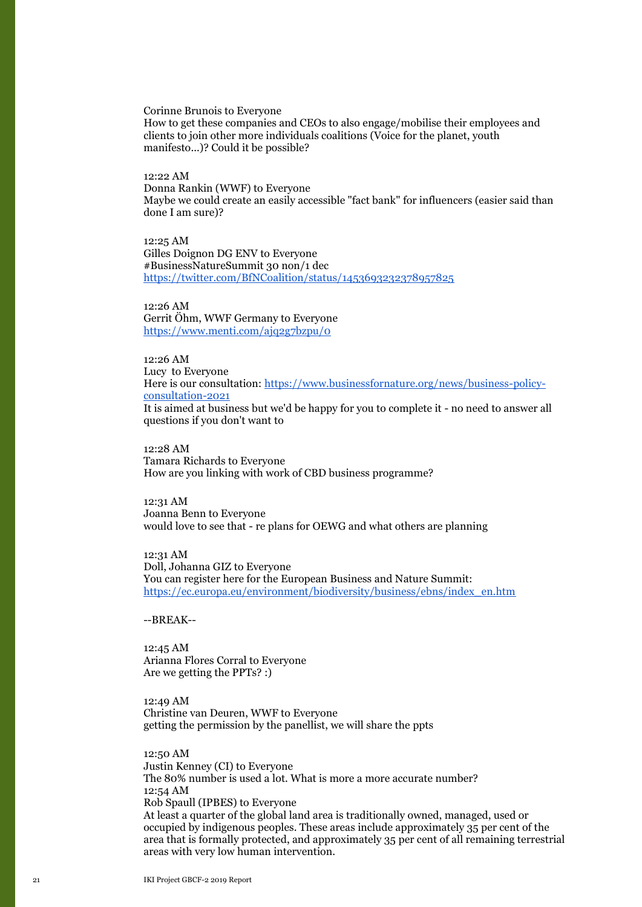Corinne Brunois to Everyone How to get these companies and CEOs to also engage/mobilise their employees and clients to join other more individuals coalitions (Voice for the planet, youth manifesto...)? Could it be possible?

12:22 AM Donna Rankin (WWF) to Everyone Maybe we could create an easily accessible "fact bank" for influencers (easier said than done I am sure)?

12:25 AM Gilles Doignon DG ENV to Everyone #BusinessNatureSummit 30 non/1 dec <https://twitter.com/BfNCoalition/status/1453693232378957825>

### 12:26 AM

Gerrit Öhm, WWF Germany to Everyone <https://www.menti.com/ajq2g7bzpu/0>

12:26 AM Lucy to Everyone Here is our consultation: [https://www.businessfornature.org/news/business-policy](https://www.businessfornature.org/news/business-policy-consultation-2021)[consultation-2021](https://www.businessfornature.org/news/business-policy-consultation-2021) It is aimed at business but we'd be happy for you to complete it - no need to answer all questions if you don't want to

12:28 AM Tamara Richards to Everyone How are you linking with work of CBD business programme?

12:31 AM Joanna Benn to Everyone would love to see that - re plans for OEWG and what others are planning

12:31 AM Doll, Johanna GIZ to Everyone You can register here for the European Business and Nature Summit: [https://ec.europa.eu/environment/biodiversity/business/ebns/index\\_en.htm](https://ec.europa.eu/environment/biodiversity/business/ebns/index_en.htm)

--BREAK--

12:45 AM Arianna Flores Corral to Everyone Are we getting the PPTs? :)

12:49 AM Christine van Deuren, WWF to Everyone getting the permission by the panellist, we will share the ppts

12:50 AM Justin Kenney (CI) to Everyone The 80% number is used a lot. What is more a more accurate number? 12:54 AM Rob Spaull (IPBES) to Everyone At least a quarter of the global land area is traditionally owned, managed, used or occupied by indigenous peoples. These areas include approximately 35 per cent of the area that is formally protected, and approximately 35 per cent of all remaining terrestrial areas with very low human intervention.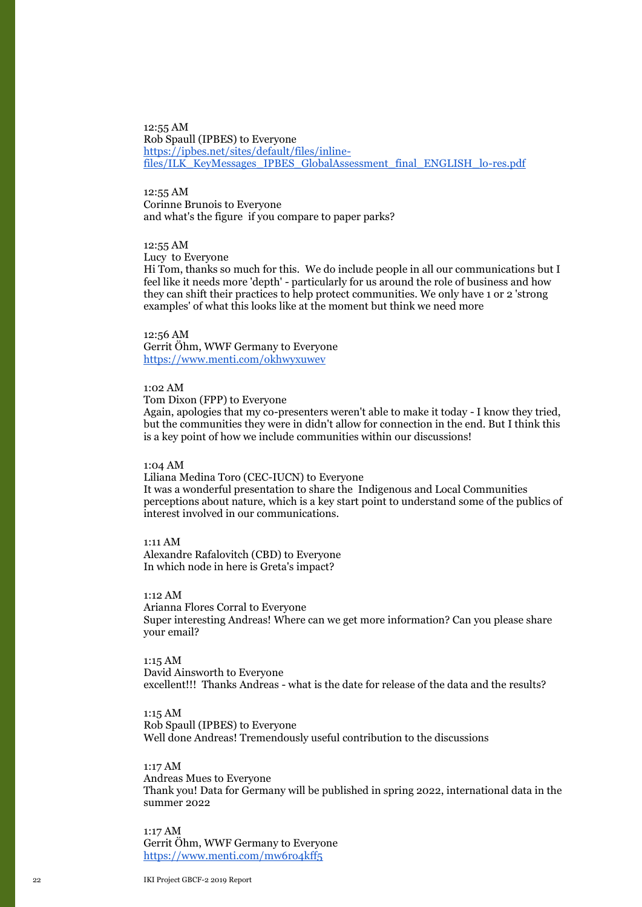#### 12:55 AM Rob Spaull (IPBES) to Everyone [https://ipbes.net/sites/default/files/inline](https://ipbes.net/sites/default/files/inline-files/ILK_KeyMessages_IPBES_GlobalAssessment_final_ENGLISH_lo-res.pdf)[files/ILK\\_KeyMessages\\_IPBES\\_GlobalAssessment\\_final\\_ENGLISH\\_lo-res.pdf](https://ipbes.net/sites/default/files/inline-files/ILK_KeyMessages_IPBES_GlobalAssessment_final_ENGLISH_lo-res.pdf)

12:55 AM Corinne Brunois to Everyone and what's the figure if you compare to paper parks?

### 12:55 AM

Lucy to Everyone

Hi Tom, thanks so much for this. We do include people in all our communications but I feel like it needs more 'depth' - particularly for us around the role of business and how they can shift their practices to help protect communities. We only have 1 or 2 'strong examples' of what this looks like at the moment but think we need more

12:56 AM Gerrit Öhm, WWF Germany to Everyone <https://www.menti.com/okhwyxuwev>

#### 1:02 AM

Tom Dixon (FPP) to Everyone

Again, apologies that my co-presenters weren't able to make it today - I know they tried, but the communities they were in didn't allow for connection in the end. But I think this is a key point of how we include communities within our discussions!

#### 1:04 AM

Liliana Medina Toro (CEC-IUCN) to Everyone It was a wonderful presentation to share the Indigenous and Local Communities perceptions about nature, which is a key start point to understand some of the publics of interest involved in our communications.

1:11 AM Alexandre Rafalovitch (CBD) to Everyone In which node in here is Greta's impact?

1:12 AM

Arianna Flores Corral to Everyone Super interesting Andreas! Where can we get more information? Can you please share your email?

1:15 AM David Ainsworth to Everyone excellent!!! Thanks Andreas - what is the date for release of the data and the results?

1:15 AM Rob Spaull (IPBES) to Everyone Well done Andreas! Tremendously useful contribution to the discussions

1:17 AM Andreas Mues to Everyone Thank you! Data for Germany will be published in spring 2022, international data in the summer 2022

1:17 AM Gerrit Öhm, WWF Germany to Everyone <https://www.menti.com/mw6ro4kff5>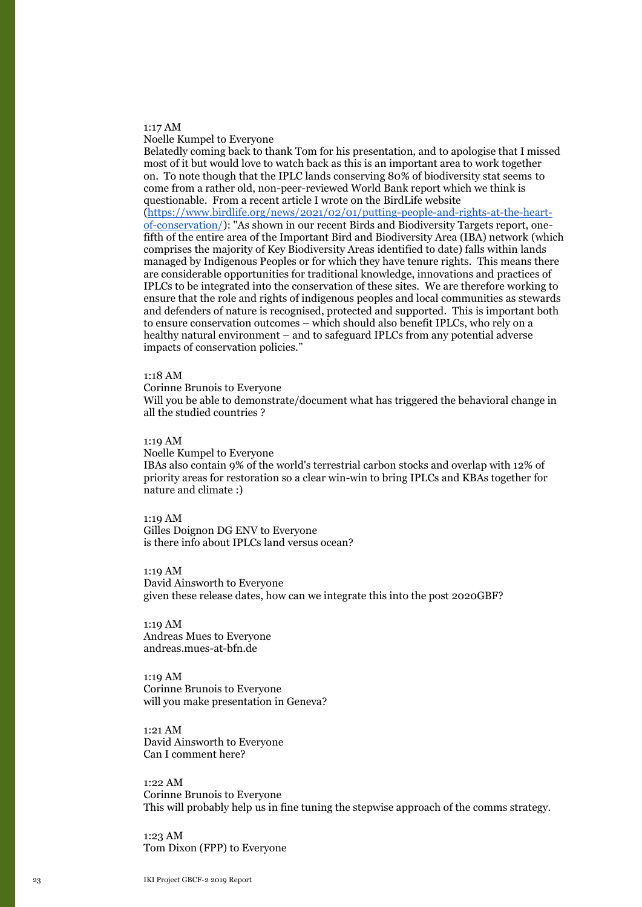#### 1:17 AM

#### Noelle Kumpel to Everyone

Belatedly coming back to thank Tom for his presentation, and to apologise that I missed most of it but would love to watch back as this is an important area to work together on. To note though that the IPLC lands conserving 80% of biodiversity stat seems to come from a rather old, non-peer-reviewed World Bank report which we think is questionable. From a recent article I wrote on the BirdLife website [\(https://www.birdlife.org/news/2021/02/01/putting-people-and-rights-at-the-heart](https://www.birdlife.org/news/2021/02/01/putting-people-and-rights-at-the-heart-of-conservation/)[of-conservation/\)](https://www.birdlife.org/news/2021/02/01/putting-people-and-rights-at-the-heart-of-conservation/): "As shown in our recent Birds and Biodiversity Targets report, onefifth of the entire area of the Important Bird and Biodiversity Area (IBA) network (which comprises the majority of Key Biodiversity Areas identified to date) falls within lands managed by Indigenous Peoples or for which they have tenure rights. This means there are considerable opportunities for traditional knowledge, innovations and practices of IPLCs to be integrated into the conservation of these sites. We are therefore working to ensure that the role and rights of indigenous peoples and local communities as stewards and defenders of nature is recognised, protected and supported. This is important both to ensure conservation outcomes – which should also benefit IPLCs, who rely on a healthy natural environment – and to safeguard IPLCs from any potential adverse impacts of conservation policies."

### 1:18 AM

Corinne Brunois to Everyone Will you be able to demonstrate/document what has triggered the behavioral change in all the studied countries ?

#### 1:19 AM

Noelle Kumpel to Everyone IBAs also contain 9% of the world's terrestrial carbon stocks and overlap with 12% of priority areas for restoration so a clear win-win to bring IPLCs and KBAs together for nature and climate :)

1:19 AM Gilles Doignon DG ENV to Everyone is there info about IPLCs land versus ocean?

1:19 AM David Ainsworth to Everyone given these release dates, how can we integrate this into the post 2020GBF?

1:19 AM Andreas Mues to Everyone andreas.mues-at-bfn.de

1:19 AM Corinne Brunois to Everyone will you make presentation in Geneva?

 $1:21$  AM David Ainsworth to Everyone Can I comment here?

1:22 AM Corinne Brunois to Everyone This will probably help us in fine tuning the stepwise approach of the comms strategy.

1:23 AM Tom Dixon (FPP) to Everyone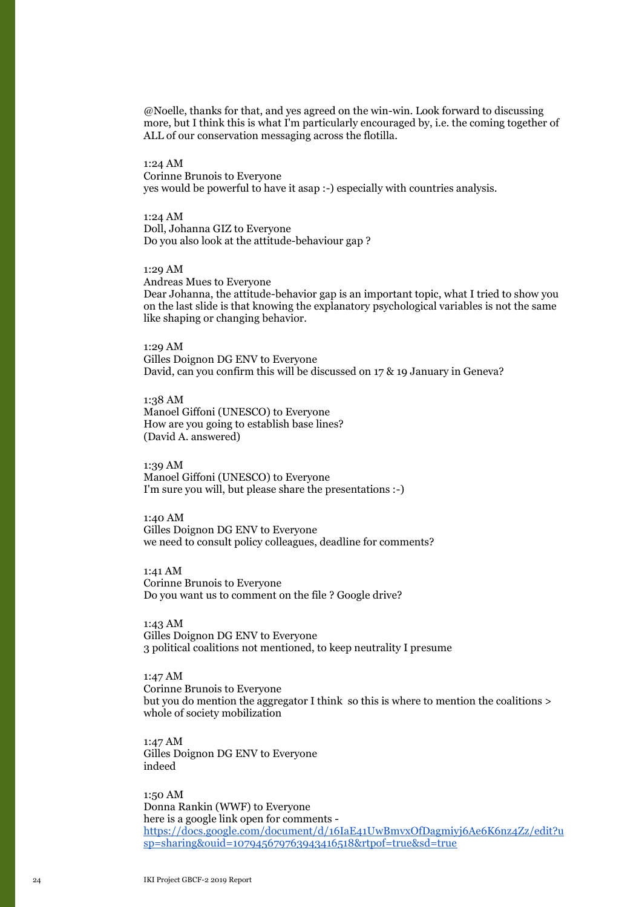@Noelle, thanks for that, and yes agreed on the win-win. Look forward to discussing more, but I think this is what I'm particularly encouraged by, i.e. the coming together of ALL of our conservation messaging across the flotilla.

### 1:24 AM

Corinne Brunois to Everyone yes would be powerful to have it asap :-) especially with countries analysis.

1:24 AM Doll, Johanna GIZ to Everyone Do you also look at the attitude-behaviour gap ?

#### 1:29 AM

Andreas Mues to Everyone Dear Johanna, the attitude-behavior gap is an important topic, what I tried to show you on the last slide is that knowing the explanatory psychological variables is not the same like shaping or changing behavior.

1:29 AM Gilles Doignon DG ENV to Everyone David, can you confirm this will be discussed on 17 & 19 January in Geneva?

1:38 AM Manoel Giffoni (UNESCO) to Everyone How are you going to establish base lines? (David A. answered)

1:39 AM Manoel Giffoni (UNESCO) to Everyone I'm sure you will, but please share the presentations :-)

1:40 AM Gilles Doignon DG ENV to Everyone we need to consult policy colleagues, deadline for comments?

1:41 AM Corinne Brunois to Everyone Do you want us to comment on the file ? Google drive?

1:43 AM Gilles Doignon DG ENV to Everyone 3 political coalitions not mentioned, to keep neutrality I presume

1:47 AM Corinne Brunois to Everyone but you do mention the aggregator I think so this is where to mention the coalitions > whole of society mobilization

1:47 AM Gilles Doignon DG ENV to Everyone indeed

1:50 AM Donna Rankin (WWF) to Everyone here is a google link open for comments [https://docs.google.com/document/d/16IaE41UwBmvxOfDagmiyj6Ae6K6nz4Zz/edit?u](https://docs.google.com/document/d/16IaE41UwBmvxOfDagmiyj6Ae6K6nz4Zz/edit?usp=sharing&ouid=107945679763943416518&rtpof=true&sd=true) [sp=sharing&ouid=107945679763943416518&rtpof=true&sd=true](https://docs.google.com/document/d/16IaE41UwBmvxOfDagmiyj6Ae6K6nz4Zz/edit?usp=sharing&ouid=107945679763943416518&rtpof=true&sd=true)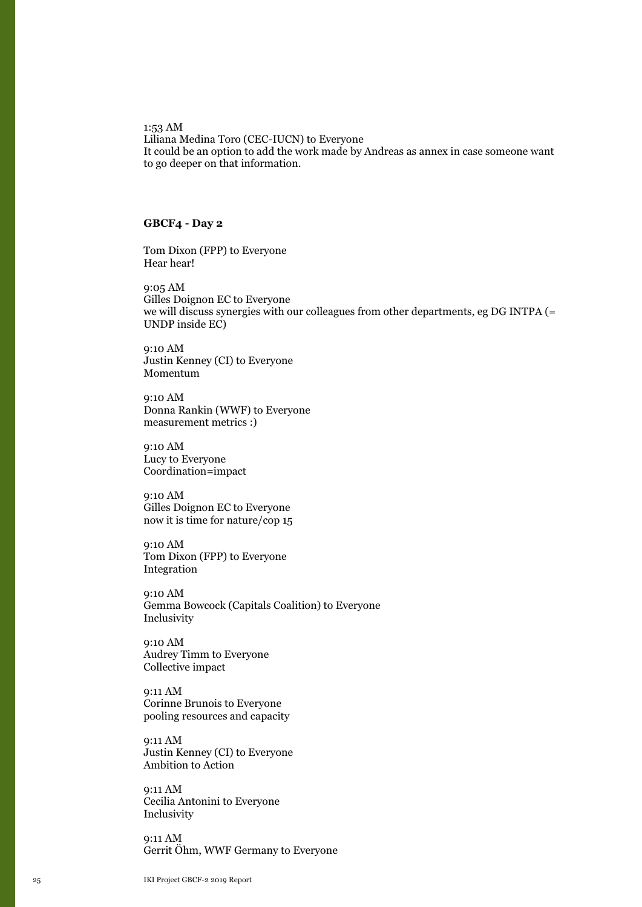1:53 AM Liliana Medina Toro (CEC-IUCN) to Everyone It could be an option to add the work made by Andreas as annex in case someone want to go deeper on that information.

#### **GBCF4 - Day 2**

Tom Dixon (FPP) to Everyone Hear hear!

9:05 AM Gilles Doignon EC to Everyone we will discuss synergies with our colleagues from other departments, eg DG INTPA (= UNDP inside EC)

9:10 AM Justin Kenney (CI) to Everyone Momentum

9:10 AM Donna Rankin (WWF) to Everyone measurement metrics :)

9:10 AM Lucy to Everyone Coordination=impact

9:10 AM Gilles Doignon EC to Everyone now it is time for nature/cop 15

9:10 AM Tom Dixon (FPP) to Everyone Integration

9:10 AM Gemma Bowcock (Capitals Coalition) to Everyone Inclusivity

9:10 AM Audrey Timm to Everyone Collective impact

9:11 AM Corinne Brunois to Everyone pooling resources and capacity

9:11 AM Justin Kenney (CI) to Everyone Ambition to Action

9:11 AM Cecilia Antonini to Everyone Inclusivity

9:11 AM Gerrit Öhm, WWF Germany to Everyone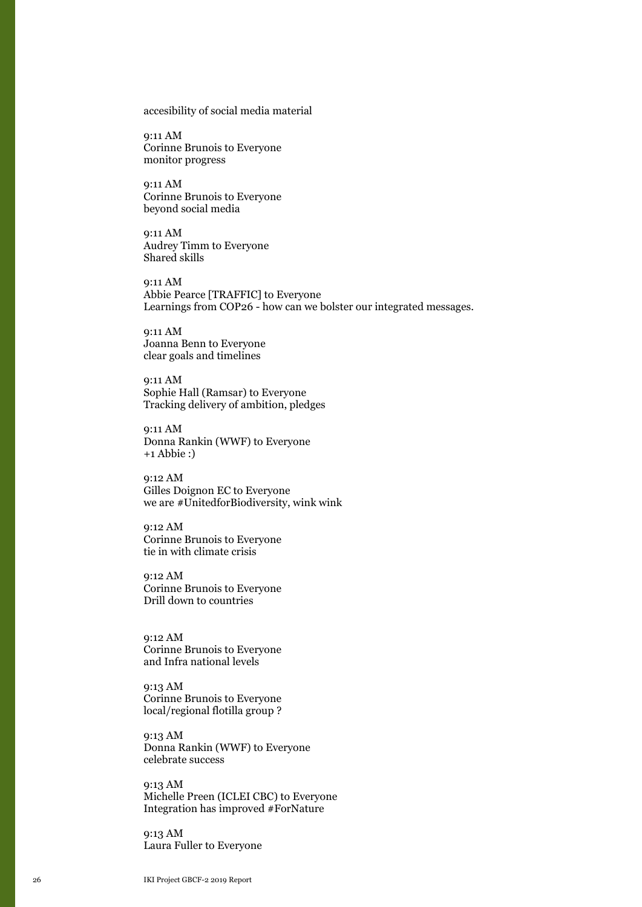accesibility of social media material

9:11 AM Corinne Brunois to Everyone monitor progress

9:11 AM Corinne Brunois to Everyone beyond social media

9:11 AM Audrey Timm to Everyone Shared skills

9:11 AM Abbie Pearce [TRAFFIC] to Everyone Learnings from COP26 - how can we bolster our integrated messages.

9:11 AM Joanna Benn to Everyone clear goals and timelines

9:11 AM Sophie Hall (Ramsar) to Everyone Tracking delivery of ambition, pledges

9:11 AM Donna Rankin (WWF) to Everyone +1 Abbie :)

9:12 AM Gilles Doignon EC to Everyone we are #UnitedforBiodiversity, wink wink

9:12 AM Corinne Brunois to Everyone tie in with climate crisis

9:12 AM Corinne Brunois to Everyone Drill down to countries

9:12 AM Corinne Brunois to Everyone and Infra national levels

9:13 AM Corinne Brunois to Everyone local/regional flotilla group ?

9:13 AM Donna Rankin (WWF) to Everyone celebrate success

9:13 AM Michelle Preen (ICLEI CBC) to Everyone Integration has improved #ForNature

9:13 AM Laura Fuller to Everyone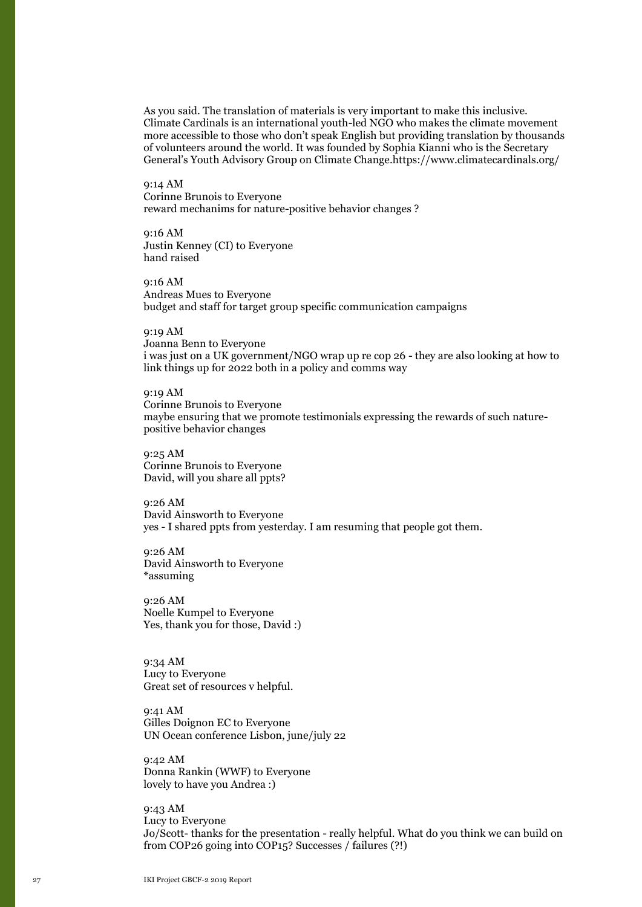As you said. The translation of materials is very important to make this inclusive. Climate Cardinals is an international youth-led NGO who makes the climate movement more accessible to those who don't speak English but providing translation by thousands of volunteers around the world. It was founded by Sophia Kianni who is the Secretary General's Youth Advisory Group on Climate Change.https://www.climatecardinals.org/

9:14 AM Corinne Brunois to Everyone reward mechanims for nature-positive behavior changes ?

9:16 AM Justin Kenney (CI) to Everyone hand raised

9:16 AM Andreas Mues to Everyone budget and staff for target group specific communication campaigns

#### 9:19 AM

Joanna Benn to Everyone i was just on a UK government/NGO wrap up re cop 26 - they are also looking at how to link things up for 2022 both in a policy and comms way

#### 9:19 AM

Corinne Brunois to Everyone maybe ensuring that we promote testimonials expressing the rewards of such naturepositive behavior changes

9:25 AM Corinne Brunois to Everyone David, will you share all ppts?

9:26 AM David Ainsworth to Everyone yes - I shared ppts from yesterday. I am resuming that people got them.

9:26 AM David Ainsworth to Everyone \*assuming

9:26 AM Noelle Kumpel to Everyone Yes, thank you for those, David :)

9:34 AM Lucy to Everyone Great set of resources v helpful.

9:41 AM Gilles Doignon EC to Everyone UN Ocean conference Lisbon, june/july 22

9:42 AM Donna Rankin (WWF) to Everyone lovely to have you Andrea :)

9:43 AM Lucy to Everyone Jo/Scott- thanks for the presentation - really helpful. What do you think we can build on from COP26 going into COP15? Successes / failures (?!)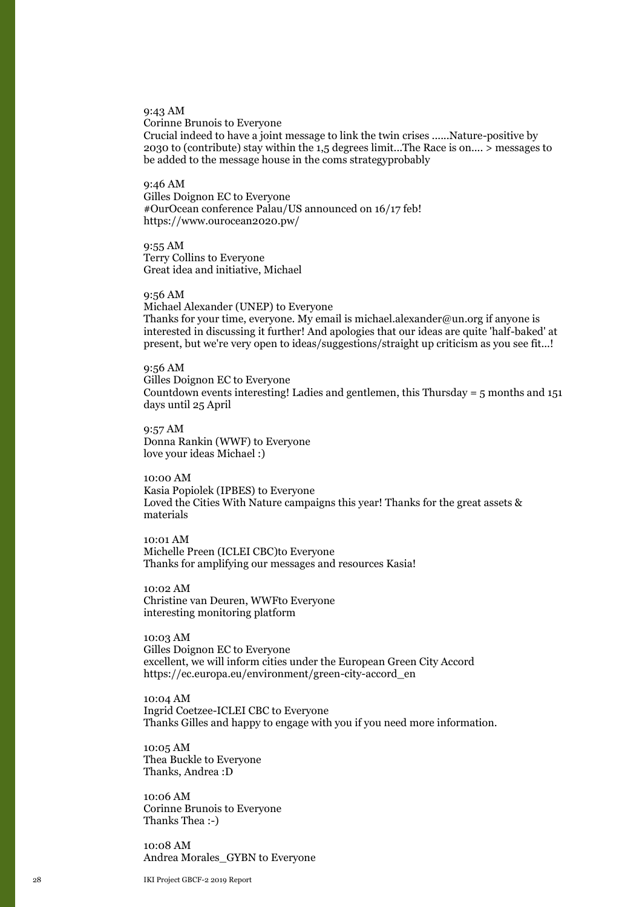9:43 AM

Corinne Brunois to Everyone

Crucial indeed to have a joint message to link the twin crises ......Nature-positive by 2030 to (contribute) stay within the 1,5 degrees limit...The Race is on.... > messages to be added to the message house in the coms strategyprobably

9:46 AM

Gilles Doignon EC to Everyone #OurOcean conference Palau/US announced on 16/17 feb! https://www.ourocean2020.pw/

9:55 AM Terry Collins to Everyone Great idea and initiative, Michael

9:56 AM

Michael Alexander (UNEP) to Everyone Thanks for your time, everyone. My email is michael.alexander@un.org if anyone is interested in discussing it further! And apologies that our ideas are quite 'half-baked' at present, but we're very open to ideas/suggestions/straight up criticism as you see fit...!

9:56 AM Gilles Doignon EC to Everyone Countdown events interesting! Ladies and gentlemen, this Thursday  $=$  5 months and 151 days until 25 April

9:57 AM Donna Rankin (WWF) to Everyone love your ideas Michael :)

10:00 AM Kasia Popiolek (IPBES) to Everyone Loved the Cities With Nature campaigns this year! Thanks for the great assets & materials

10:01 AM Michelle Preen (ICLEI CBC)to Everyone Thanks for amplifying our messages and resources Kasia!

10:02 AM Christine van Deuren, WWFto Everyone interesting monitoring platform

10:03 AM Gilles Doignon EC to Everyone excellent, we will inform cities under the European Green City Accord https://ec.europa.eu/environment/green-city-accord\_en

10:04 AM Ingrid Coetzee-ICLEI CBC to Everyone Thanks Gilles and happy to engage with you if you need more information.

10:05 AM Thea Buckle to Everyone Thanks, Andrea :D

10:06 AM Corinne Brunois to Everyone Thanks Thea :-)

10:08 AM Andrea Morales\_GYBN to Everyone

28 IKI Project GBCF-2 2019 Report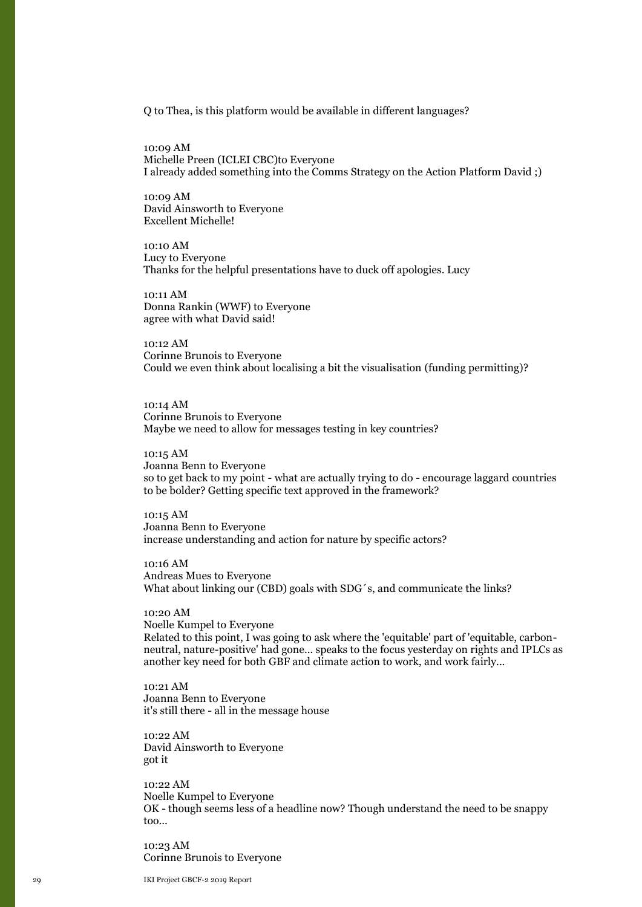Q to Thea, is this platform would be available in different languages?

10:09 AM Michelle Preen (ICLEI CBC)to Everyone I already added something into the Comms Strategy on the Action Platform David ;)

10:09 AM David Ainsworth to Everyone Excellent Michelle!

10:10 AM Lucy to Everyone Thanks for the helpful presentations have to duck off apologies. Lucy

10:11 AM Donna Rankin (WWF) to Everyone agree with what David said!

10:12 AM Corinne Brunois to Everyone Could we even think about localising a bit the visualisation (funding permitting)?

10:14 AM Corinne Brunois to Everyone Maybe we need to allow for messages testing in key countries?

10:15 AM Joanna Benn to Everyone so to get back to my point - what are actually trying to do - encourage laggard countries to be bolder? Getting specific text approved in the framework?

10:15 AM Joanna Benn to Everyone increase understanding and action for nature by specific actors?

10:16 AM Andreas Mues to Everyone What about linking our (CBD) goals with SDG´s, and communicate the links?

10:20 AM Noelle Kumpel to Everyone Related to this point, I was going to ask where the 'equitable' part of 'equitable, carbonneutral, nature-positive' had gone... speaks to the focus yesterday on rights and IPLCs as another key need for both GBF and climate action to work, and work fairly...

10:21 AM Joanna Benn to Everyone it's still there - all in the message house

10:22 AM David Ainsworth to Everyone got it

10:22 AM Noelle Kumpel to Everyone OK - though seems less of a headline now? Though understand the need to be snappy too...

10:23 AM Corinne Brunois to Everyone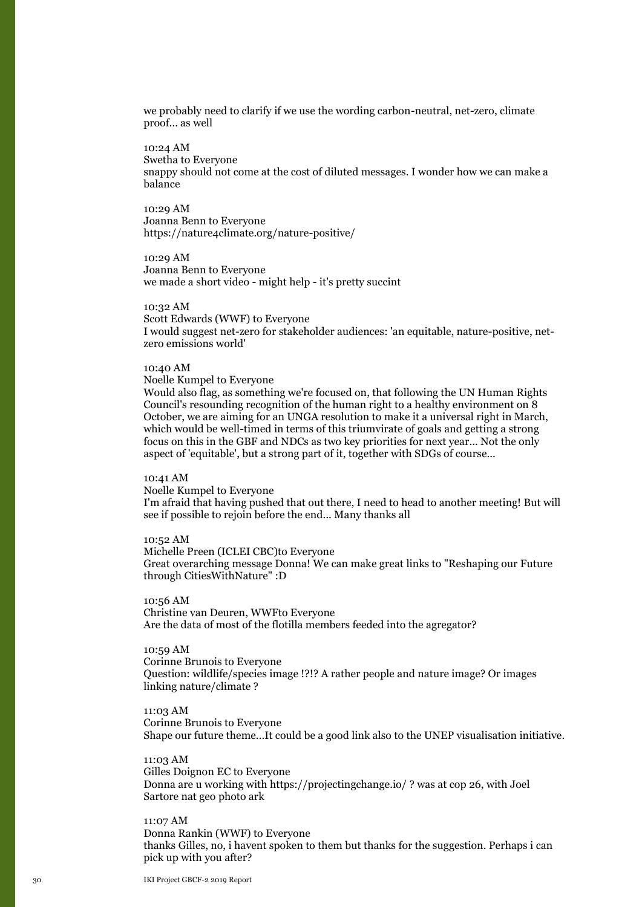we probably need to clarify if we use the wording carbon-neutral, net-zero, climate proof... as well

#### 10:24 AM

Swetha to Everyone snappy should not come at the cost of diluted messages. I wonder how we can make a balance

10:29 AM Joanna Benn to Everyone https://nature4climate.org/nature-positive/

10:29 AM Joanna Benn to Everyone we made a short video - might help - it's pretty succint

10:32 AM Scott Edwards (WWF) to Everyone I would suggest net-zero for stakeholder audiences: 'an equitable, nature-positive, netzero emissions world'

#### 10:40 AM

Noelle Kumpel to Everyone

Would also flag, as something we're focused on, that following the UN Human Rights Council's resounding recognition of the human right to a healthy environment on 8 October, we are aiming for an UNGA resolution to make it a universal right in March, which would be well-timed in terms of this triumvirate of goals and getting a strong focus on this in the GBF and NDCs as two key priorities for next year... Not the only aspect of 'equitable', but a strong part of it, together with SDGs of course...

### 10:41 AM

Noelle Kumpel to Everyone I'm afraid that having pushed that out there, I need to head to another meeting! But will see if possible to rejoin before the end... Many thanks all

10:52 AM Michelle Preen (ICLEI CBC)to Everyone Great overarching message Donna! We can make great links to "Reshaping our Future through CitiesWithNature" :D

10:56 AM Christine van Deuren, WWFto Everyone Are the data of most of the flotilla members feeded into the agregator?

#### 10:59 AM

Corinne Brunois to Everyone Question: wildlife/species image !?!? A rather people and nature image? Or images linking nature/climate ?

11:03 AM Corinne Brunois to Everyone Shape our future theme...It could be a good link also to the UNEP visualisation initiative.

11:03 AM Gilles Doignon EC to Everyone Donna are u working with https://projectingchange.io/ ? was at cop 26, with Joel Sartore nat geo photo ark

11:07 AM Donna Rankin (WWF) to Everyone thanks Gilles, no, i havent spoken to them but thanks for the suggestion. Perhaps i can pick up with you after?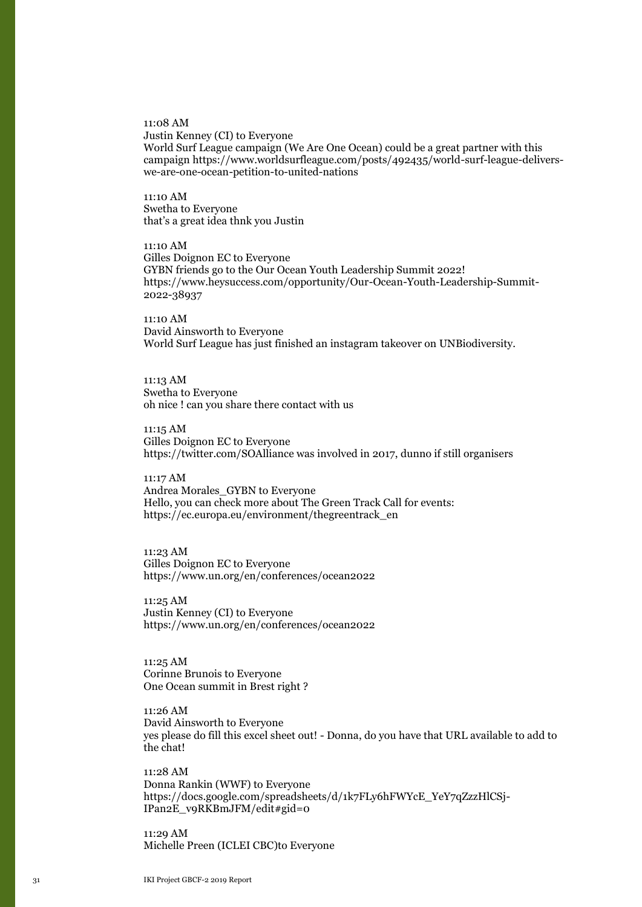11:08 AM Justin Kenney (CI) to Everyone World Surf League campaign (We Are One Ocean) could be a great partner with this campaign https://www.worldsurfleague.com/posts/492435/world-surf-league-deliverswe-are-one-ocean-petition-to-united-nations

11:10 AM Swetha to Everyone that's a great idea thnk you Justin

11:10 AM Gilles Doignon EC to Everyone GYBN friends go to the Our Ocean Youth Leadership Summit 2022! https://www.heysuccess.com/opportunity/Our-Ocean-Youth-Leadership-Summit-2022-38937

11:10 AM David Ainsworth to Everyone World Surf League has just finished an instagram takeover on UNBiodiversity.

11:13 AM Swetha to Everyone oh nice ! can you share there contact with us

11:15 AM Gilles Doignon EC to Everyone https://twitter.com/SOAlliance was involved in 2017, dunno if still organisers

11:17 AM Andrea Morales\_GYBN to Everyone Hello, you can check more about The Green Track Call for events: https://ec.europa.eu/environment/thegreentrack\_en

11:23 AM Gilles Doignon EC to Everyone https://www.un.org/en/conferences/ocean2022

11:25 AM Justin Kenney (CI) to Everyone https://www.un.org/en/conferences/ocean2022

11:25 AM Corinne Brunois to Everyone One Ocean summit in Brest right ?

11:26 AM David Ainsworth to Everyone yes please do fill this excel sheet out! - Donna, do you have that URL available to add to the chat!

11:28 AM Donna Rankin (WWF) to Everyone https://docs.google.com/spreadsheets/d/1k7FLy6hFWYcE\_YeY7qZzzHlCSj-IPan2E\_v9RKBmJFM/edit#gid=0

11:29 AM Michelle Preen (ICLEI CBC)to Everyone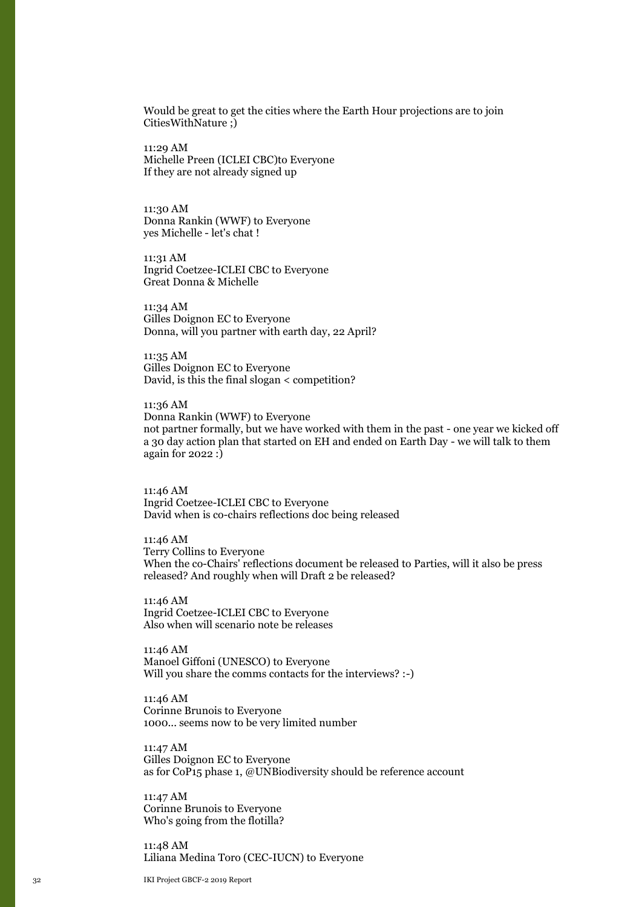Would be great to get the cities where the Earth Hour projections are to join CitiesWithNature ;)

11:29 AM Michelle Preen (ICLEI CBC)to Everyone If they are not already signed up

11:30 AM Donna Rankin (WWF) to Everyone yes Michelle - let's chat !

11:31 AM Ingrid Coetzee-ICLEI CBC to Everyone Great Donna & Michelle

11:34 AM Gilles Doignon EC to Everyone Donna, will you partner with earth day, 22 April?

11:35 AM Gilles Doignon EC to Everyone David, is this the final slogan < competition?

11:36 AM Donna Rankin (WWF) to Everyone not partner formally, but we have worked with them in the past - one year we kicked off a 30 day action plan that started on EH and ended on Earth Day - we will talk to them again for 2022 :)

11:46 AM Ingrid Coetzee-ICLEI CBC to Everyone David when is co-chairs reflections doc being released

11:46 AM Terry Collins to Everyone When the co-Chairs' reflections document be released to Parties, will it also be press released? And roughly when will Draft 2 be released?

11:46 AM Ingrid Coetzee-ICLEI CBC to Everyone Also when will scenario note be releases

11:46 AM Manoel Giffoni (UNESCO) to Everyone Will you share the comms contacts for the interviews? :-)

11:46 AM Corinne Brunois to Everyone 1000... seems now to be very limited number

11:47 AM Gilles Doignon EC to Everyone as for CoP15 phase 1, @UNBiodiversity should be reference account

11:47 AM Corinne Brunois to Everyone Who's going from the flotilla?

11:48 AM Liliana Medina Toro (CEC-IUCN) to Everyone

32 IKI Project GBCF-2 2019 Report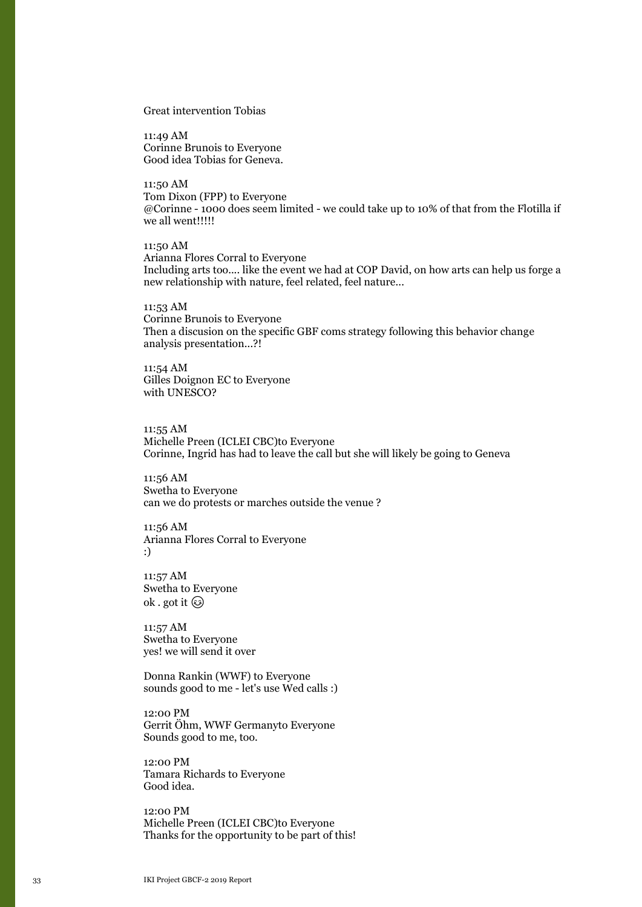Great intervention Tobias

11:49 AM Corinne Brunois to Everyone Good idea Tobias for Geneva.

11:50 AM Tom Dixon (FPP) to Everyone @Corinne - 1000 does seem limited - we could take up to 10% of that from the Flotilla if we all went!!!!!

11:50 AM Arianna Flores Corral to Everyone Including arts too.... like the event we had at COP David, on how arts can help us forge a new relationship with nature, feel related, feel nature...

11:53 AM Corinne Brunois to Everyone Then a discusion on the specific GBF coms strategy following this behavior change analysis presentation...?!

11:54 AM Gilles Doignon EC to Everyone with UNESCO?

11:55 AM Michelle Preen (ICLEI CBC)to Everyone Corinne, Ingrid has had to leave the call but she will likely be going to Geneva

11:56 AM Swetha to Everyone can we do protests or marches outside the venue ?

11:56 AM Arianna Flores Corral to Everyone :)

11:57 AM Swetha to Everyone ok . got it

11:57 AM Swetha to Everyone yes! we will send it over

Donna Rankin (WWF) to Everyone sounds good to me - let's use Wed calls :)

12:00 PM Gerrit Öhm, WWF Germanyto Everyone Sounds good to me, too.

12:00 PM Tamara Richards to Everyone Good idea.

12:00 PM Michelle Preen (ICLEI CBC)to Everyone Thanks for the opportunity to be part of this!